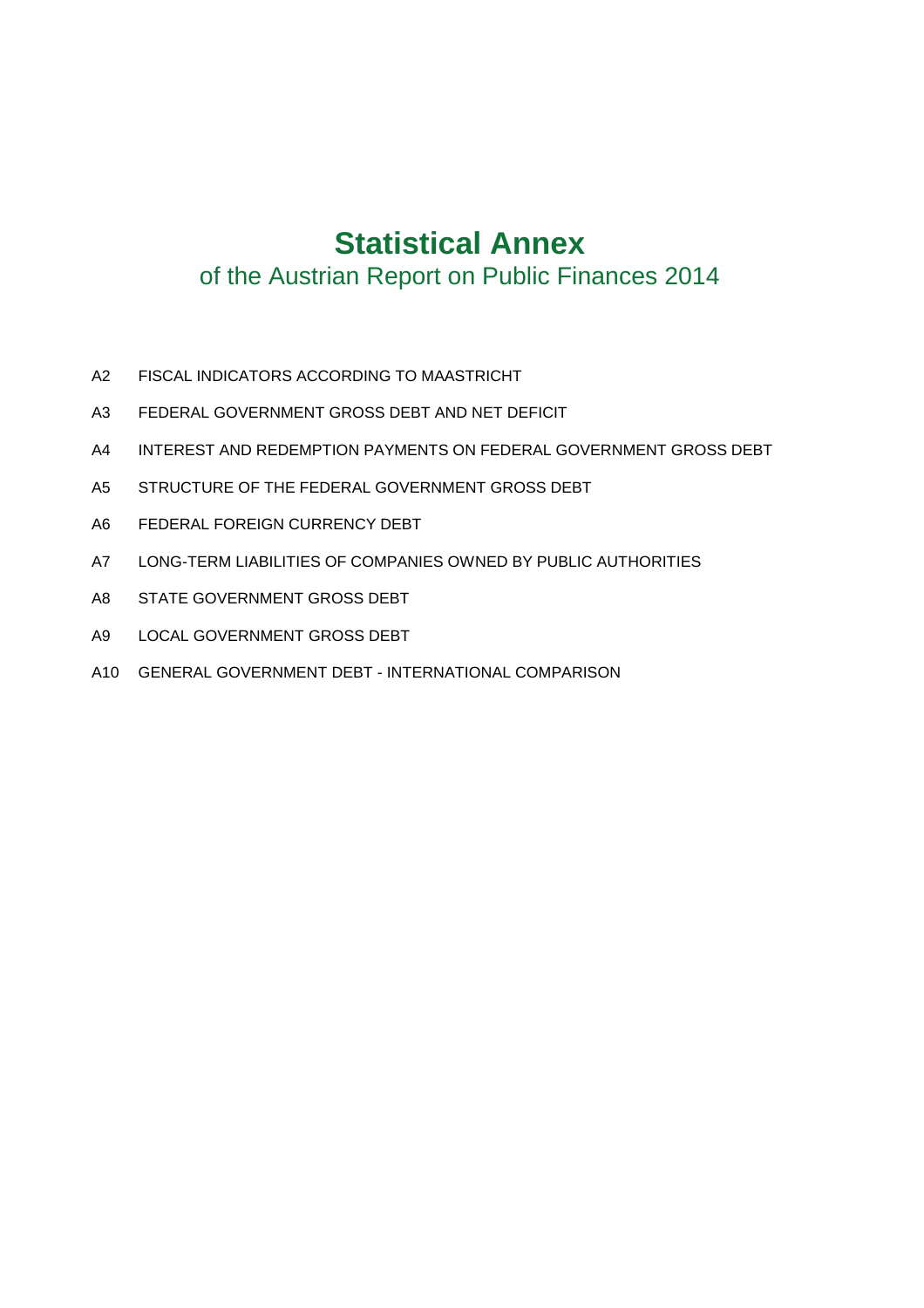# **Statistical Annex**

# of the Austrian Report on Public Finances 2014

- A2 FISCAL INDICATORS ACCORDING TO MAASTRICHT
- A3 FEDERAL GOVERNMENT GROSS DEBT AND NET DEFICIT
- A4 INTEREST AND REDEMPTION PAYMENTS ON FEDERAL GOVERNMENT GROSS DEBT
- A5 STRUCTURE OF THE FEDERAL GOVERNMENT GROSS DEBT
- A6 FEDERAL FOREIGN CURRENCY DEBT
- A7 LONG-TERM LIABILITIES OF COMPANIES OWNED BY PUBLIC AUTHORITIES
- A8 STATE GOVERNMENT GROSS DEBT
- A9 LOCAL GOVERNMENT GROSS DEBT
- A10 GENERAL GOVERNMENT DEBT INTERNATIONAL COMPARISON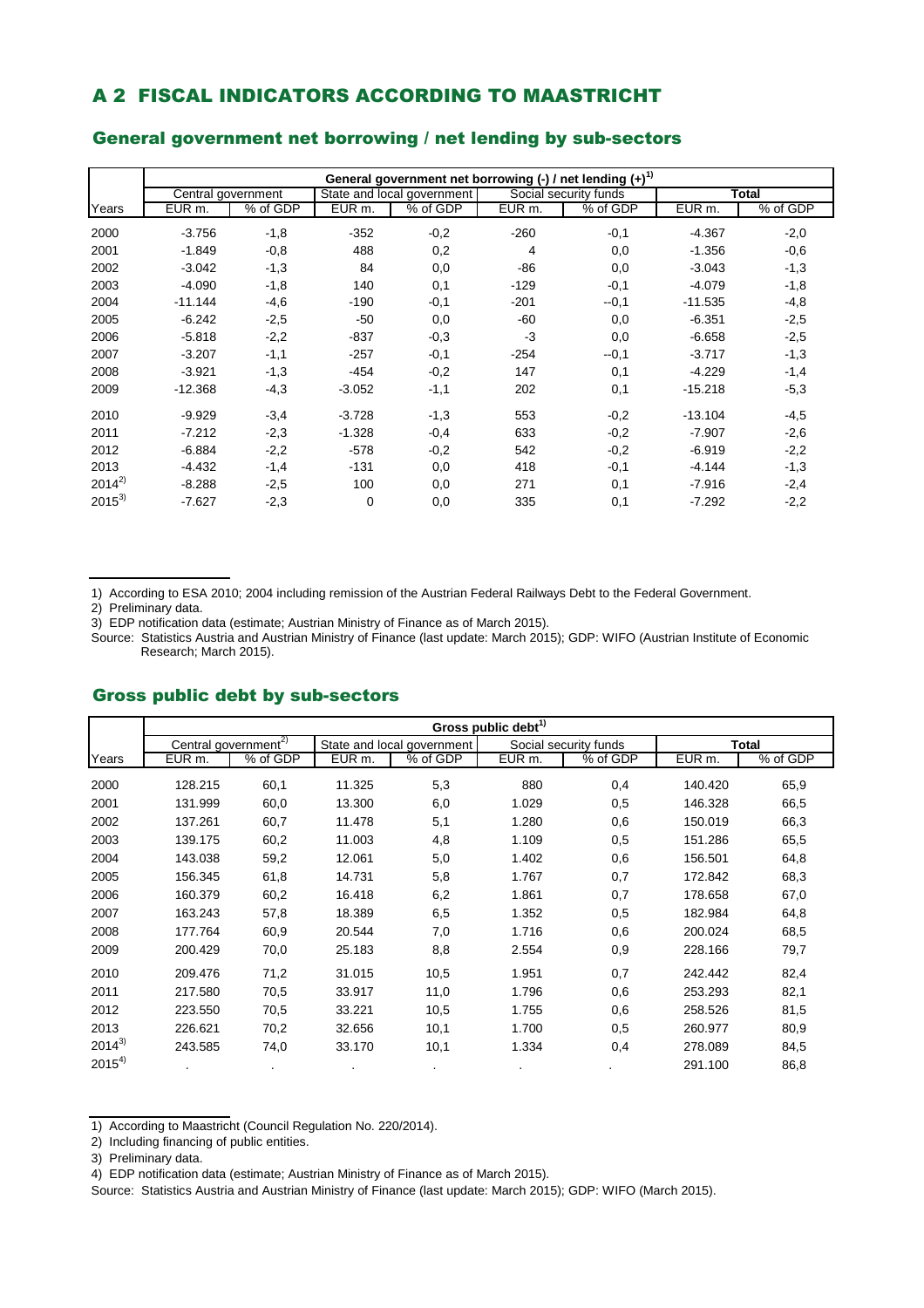### A 2 FISCAL INDICATORS ACCORDING TO MAASTRICHT

|            |           |                    |                    | General government net borrowing (-) / net lending $(+)^{1}$ |        |                       |           |          |
|------------|-----------|--------------------|--------------------|--------------------------------------------------------------|--------|-----------------------|-----------|----------|
|            |           | Central government |                    | State and local government                                   |        | Social security funds |           | Total    |
| Years      | EUR m.    | % of GDP           | EUR <sub>m</sub> . | % of GDP                                                     | EUR m. | % of GDP              | EUR m.    | % of GDP |
| 2000       | $-3.756$  | $-1,8$             | $-352$             | $-0,2$                                                       | $-260$ | $-0,1$                | $-4.367$  | $-2,0$   |
| 2001       | $-1.849$  | $-0,8$             | 488                | 0,2                                                          | 4      | 0,0                   | $-1.356$  | $-0,6$   |
| 2002       | $-3.042$  | $-1,3$             | 84                 | 0,0                                                          | -86    | 0,0                   | $-3.043$  | $-1,3$   |
| 2003       | $-4.090$  | $-1,8$             | 140                | 0,1                                                          | $-129$ | $-0,1$                | $-4.079$  | $-1,8$   |
| 2004       | $-11.144$ | $-4,6$             | $-190$             | $-0,1$                                                       | $-201$ | $-0,1$                | $-11.535$ | $-4,8$   |
| 2005       | $-6.242$  | $-2,5$             | $-50$              | 0,0                                                          | -60    | 0,0                   | $-6.351$  | $-2,5$   |
| 2006       | $-5.818$  | $-2,2$             | $-837$             | $-0,3$                                                       | $-3$   | 0,0                   | $-6.658$  | $-2,5$   |
| 2007       | $-3.207$  | $-1,1$             | $-257$             | $-0,1$                                                       | $-254$ | $-0,1$                | $-3.717$  | $-1,3$   |
| 2008       | $-3.921$  | $-1,3$             | $-454$             | $-0,2$                                                       | 147    | 0,1                   | $-4.229$  | $-1,4$   |
| 2009       | $-12.368$ | $-4,3$             | $-3.052$           | $-1,1$                                                       | 202    | 0,1                   | $-15.218$ | $-5,3$   |
| 2010       | $-9.929$  | $-3,4$             | $-3.728$           | $-1,3$                                                       | 553    | $-0,2$                | $-13.104$ | $-4,5$   |
| 2011       | $-7.212$  | $-2,3$             | $-1.328$           | $-0,4$                                                       | 633    | $-0,2$                | $-7.907$  | $-2,6$   |
| 2012       | $-6.884$  | $-2,2$             | $-578$             | $-0,2$                                                       | 542    | $-0,2$                | $-6.919$  | $-2,2$   |
| 2013       | $-4.432$  | $-1,4$             | $-131$             | 0,0                                                          | 418    | $-0,1$                | $-4.144$  | $-1,3$   |
| $2014^{2}$ | $-8.288$  | $-2,5$             | 100                | 0,0                                                          | 271    | 0,1                   | $-7.916$  | $-2,4$   |
| $2015^{3}$ | $-7.627$  | $-2,3$             | 0                  | 0,0                                                          | 335    | 0,1                   | $-7.292$  | $-2,2$   |

### General government net borrowing / net lending by sub-sectors

1) According to ESA 2010; 2004 including remission of the Austrian Federal Railways Debt to the Federal Government.

2) Preliminary data.

3) EDP notification data (estimate; Austrian Ministry of Finance as of March 2015).

Source: Statistics Austria and Austrian Ministry of Finance (last update: March 2015); GDP: WIFO (Austrian Institute of Economic Research; March 2015).

|            | Gross public debt <sup>1)</sup>  |                |                   |                            |                    |                       |         |          |  |  |  |  |
|------------|----------------------------------|----------------|-------------------|----------------------------|--------------------|-----------------------|---------|----------|--|--|--|--|
|            | Central government <sup>2)</sup> |                |                   | State and local government |                    | Social security funds |         | Total    |  |  |  |  |
| Years      | EUR <sub>m.</sub>                | % of GDP       | EUR <sub>m.</sub> | % of GDP                   | EUR <sub>m</sub> . | % of GDP              | EUR m.  | % of GDP |  |  |  |  |
| 2000       | 128.215                          | 60,1           | 11.325            | 5,3                        | 880                | 0,4                   | 140.420 | 65,9     |  |  |  |  |
| 2001       | 131.999                          | 60,0           | 13.300            | 6,0                        | 1.029              | 0,5                   | 146.328 | 66,5     |  |  |  |  |
| 2002       | 137.261                          | 60,7           | 11.478            | 5,1                        | 1.280              | 0,6                   | 150.019 | 66,3     |  |  |  |  |
| 2003       | 139.175                          | 60,2           | 11.003            | 4,8                        | 1.109              | 0,5                   | 151.286 | 65,5     |  |  |  |  |
| 2004       | 143.038                          | 59,2           | 12.061            | 5,0                        | 1.402              | 0,6                   | 156.501 | 64,8     |  |  |  |  |
| 2005       | 156.345                          | 61,8           | 14.731            | 5,8                        | 1.767              | 0,7                   | 172.842 | 68,3     |  |  |  |  |
| 2006       | 160.379                          | 60,2           | 16.418            | 6,2                        | 1.861              | 0,7                   | 178.658 | 67,0     |  |  |  |  |
| 2007       | 163.243                          | 57,8           | 18.389            | 6,5                        | 1.352              | 0,5                   | 182.984 | 64,8     |  |  |  |  |
| 2008       | 177.764                          | 60,9           | 20.544            | 7,0                        | 1.716              | 0,6                   | 200.024 | 68,5     |  |  |  |  |
| 2009       | 200.429                          | 70,0           | 25.183            | 8,8                        | 2.554              | 0,9                   | 228.166 | 79,7     |  |  |  |  |
| 2010       | 209.476                          | 71,2           | 31.015            | 10,5                       | 1.951              | 0,7                   | 242.442 | 82,4     |  |  |  |  |
| 2011       | 217.580                          | 70,5           | 33.917            | 11,0                       | 1.796              | 0,6                   | 253.293 | 82,1     |  |  |  |  |
| 2012       | 223.550                          | 70,5           | 33.221            | 10,5                       | 1.755              | 0,6                   | 258.526 | 81,5     |  |  |  |  |
| 2013       | 226.621                          | 70,2           | 32.656            | 10,1                       | 1.700              | 0,5                   | 260.977 | 80,9     |  |  |  |  |
| $2014^{3}$ | 243.585                          | 74,0           | 33.170            | 10,1                       | 1.334              | 0,4                   | 278.089 | 84,5     |  |  |  |  |
| $2015^{4}$ |                                  | $\blacksquare$ |                   |                            |                    |                       | 291.100 | 86,8     |  |  |  |  |

#### Gross public debt by sub-sectors

<sup>1)</sup> According to Maastricht (Council Regulation No. 220/2014).

<sup>2)</sup> Including financing of public entities.

<sup>3)</sup> Preliminary data.

<sup>4)</sup> EDP notification data (estimate; Austrian Ministry of Finance as of March 2015).

Source: Statistics Austria and Austrian Ministry of Finance (last update: March 2015); GDP: WIFO (March 2015).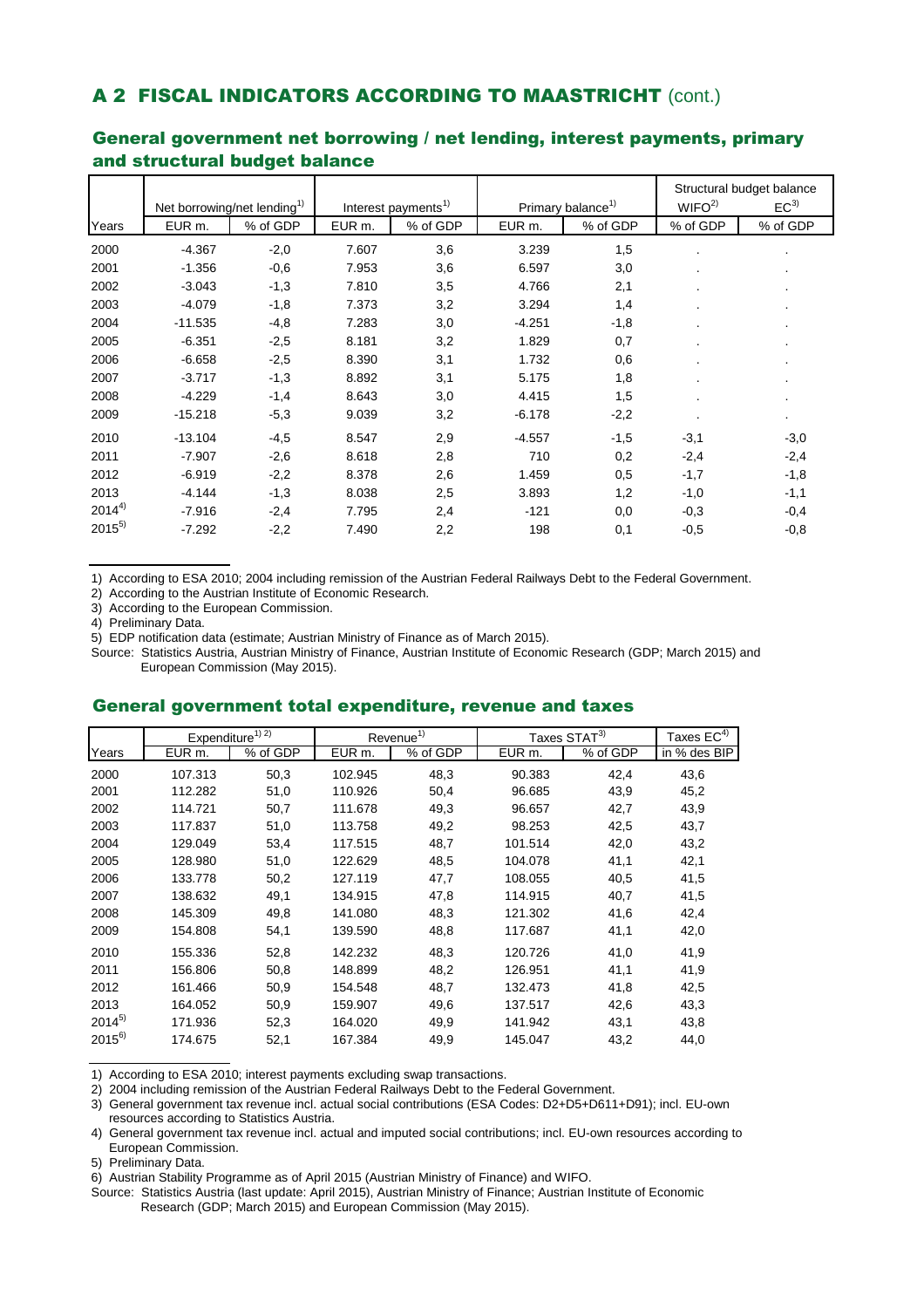### A 2 FISCAL INDICATORS ACCORDING TO MAASTRICHT (cont.)

|            | Net borrowing/net lending <sup>1)</sup> |          | Interest payments <sup>1)</sup> |          |          | Primary balance <sup>1)</sup> | WIFO <sup>2</sup> | Structural budget balance<br>EC <sup>3</sup> |
|------------|-----------------------------------------|----------|---------------------------------|----------|----------|-------------------------------|-------------------|----------------------------------------------|
| Years      | EUR m.                                  | % of GDP | EUR <sub>m.</sub>               | % of GDP | EUR m.   | % of GDP                      | % of GDP          | % of GDP                                     |
|            |                                         |          |                                 |          |          |                               |                   |                                              |
| 2000       | $-4.367$                                | $-2,0$   | 7.607                           | 3,6      | 3.239    | 1,5                           |                   |                                              |
| 2001       | $-1.356$                                | $-0,6$   | 7.953                           | 3,6      | 6.597    | 3,0                           |                   |                                              |
| 2002       | $-3.043$                                | $-1,3$   | 7.810                           | 3,5      | 4.766    | 2,1                           |                   |                                              |
| 2003       | $-4.079$                                | $-1,8$   | 7.373                           | 3,2      | 3.294    | 1,4                           |                   |                                              |
| 2004       | $-11.535$                               | $-4,8$   | 7.283                           | 3,0      | $-4.251$ | $-1,8$                        |                   | ٠                                            |
| 2005       | $-6.351$                                | $-2,5$   | 8.181                           | 3,2      | 1.829    | 0,7                           |                   | ٠                                            |
| 2006       | $-6.658$                                | $-2,5$   | 8.390                           | 3,1      | 1.732    | 0,6                           |                   | ٠                                            |
| 2007       | $-3.717$                                | $-1,3$   | 8.892                           | 3,1      | 5.175    | 1,8                           |                   | ٠                                            |
| 2008       | $-4.229$                                | $-1,4$   | 8.643                           | 3,0      | 4.415    | 1,5                           |                   | ٠                                            |
| 2009       | $-15.218$                               | $-5,3$   | 9.039                           | 3,2      | $-6.178$ | $-2,2$                        |                   | $\blacksquare$                               |
| 2010       | $-13.104$                               | $-4,5$   | 8.547                           | 2,9      | $-4.557$ | $-1,5$                        | $-3,1$            | $-3,0$                                       |
| 2011       | $-7.907$                                | $-2,6$   | 8.618                           | 2,8      | 710      | 0,2                           | $-2,4$            | $-2,4$                                       |
| 2012       | $-6.919$                                | $-2,2$   | 8.378                           | 2,6      | 1.459    | 0,5                           | $-1,7$            | $-1,8$                                       |
| 2013       | $-4.144$                                | $-1,3$   | 8.038                           | 2,5      | 3.893    | 1,2                           | $-1,0$            | $-1,1$                                       |
| $2014^{4}$ | $-7.916$                                | $-2,4$   | 7.795                           | 2,4      | $-121$   | 0,0                           | $-0.3$            | $-0,4$                                       |
| $2015^{5}$ | $-7.292$                                | $-2,2$   | 7.490                           | 2,2      | 198      | 0,1                           | $-0,5$            | $-0,8$                                       |

### General government net borrowing / net lending, interest payments, primary and structural budget balance

1) According to ESA 2010; 2004 including remission of the Austrian Federal Railways Debt to the Federal Government.

2) According to the Austrian Institute of Economic Research.

3) According to the European Commission.

4) Preliminary Data.

5) EDP notification data (estimate; Austrian Ministry of Finance as of March 2015).

Source: Statistics Austria, Austrian Ministry of Finance, Austrian Institute of Economic Research (GDP; March 2015) and European Commission (May 2015).

### General government total expenditure, revenue and taxes

|            |                    | Expenditure <sup>1)</sup> <sup>2)</sup> |         | Revenue <sup>1)</sup> |                    | Taxes STAT <sup>3)</sup> | Taxes $EC^{4)}$ |
|------------|--------------------|-----------------------------------------|---------|-----------------------|--------------------|--------------------------|-----------------|
| Years      | EUR <sub>m</sub> . | % of GDP                                | EUR m.  | % of GDP              | EUR <sub>m</sub> . | % of GDP                 | in % des BIP    |
| 2000       | 107.313            | 50,3                                    | 102.945 | 48,3                  | 90.383             | 42,4                     | 43,6            |
| 2001       | 112.282            | 51,0                                    | 110.926 | 50,4                  | 96.685             | 43,9                     | 45,2            |
| 2002       | 114.721            | 50,7                                    | 111.678 | 49,3                  | 96.657             | 42,7                     | 43,9            |
| 2003       | 117.837            | 51,0                                    | 113.758 | 49,2                  | 98.253             | 42,5                     | 43,7            |
| 2004       | 129.049            | 53,4                                    | 117.515 | 48,7                  | 101.514            | 42,0                     | 43,2            |
| 2005       | 128.980            | 51,0                                    | 122.629 | 48,5                  | 104.078            | 41,1                     | 42,1            |
| 2006       | 133.778            | 50,2                                    | 127.119 | 47,7                  | 108.055            | 40,5                     | 41,5            |
| 2007       | 138.632            | 49,1                                    | 134.915 | 47,8                  | 114.915            | 40,7                     | 41,5            |
| 2008       | 145.309            | 49,8                                    | 141.080 | 48,3                  | 121.302            | 41,6                     | 42,4            |
| 2009       | 154.808            | 54,1                                    | 139.590 | 48,8                  | 117.687            | 41,1                     | 42,0            |
| 2010       | 155.336            | 52,8                                    | 142.232 | 48,3                  | 120.726            | 41,0                     | 41,9            |
| 2011       | 156.806            | 50,8                                    | 148.899 | 48,2                  | 126.951            | 41,1                     | 41,9            |
| 2012       | 161.466            | 50,9                                    | 154.548 | 48,7                  | 132.473            | 41,8                     | 42,5            |
| 2013       | 164.052            | 50,9                                    | 159.907 | 49,6                  | 137.517            | 42,6                     | 43,3            |
| $2014^{5}$ | 171.936            | 52,3                                    | 164.020 | 49,9                  | 141.942            | 43,1                     | 43,8            |
| $2015^{6}$ | 174.675            | 52,1                                    | 167.384 | 49,9                  | 145.047            | 43,2                     | 44,0            |

1) According to ESA 2010; interest payments excluding swap transactions.

2) 2004 including remission of the Austrian Federal Railways Debt to the Federal Government.

3) General government tax revenue incl. actual social contributions (ESA Codes: D2+D5+D611+D91); incl. EU-own resources according to Statistics Austria.

4) General government tax revenue incl. actual and imputed social contributions; incl. EU-own resources according to European Commission.

5) Preliminary Data.

6) Austrian Stability Programme as of April 2015 (Austrian Ministry of Finance) and WIFO.

Source: Statistics Austria (last update: April 2015), Austrian Ministry of Finance; Austrian Institute of Economic Research (GDP; March 2015) and European Commission (May 2015).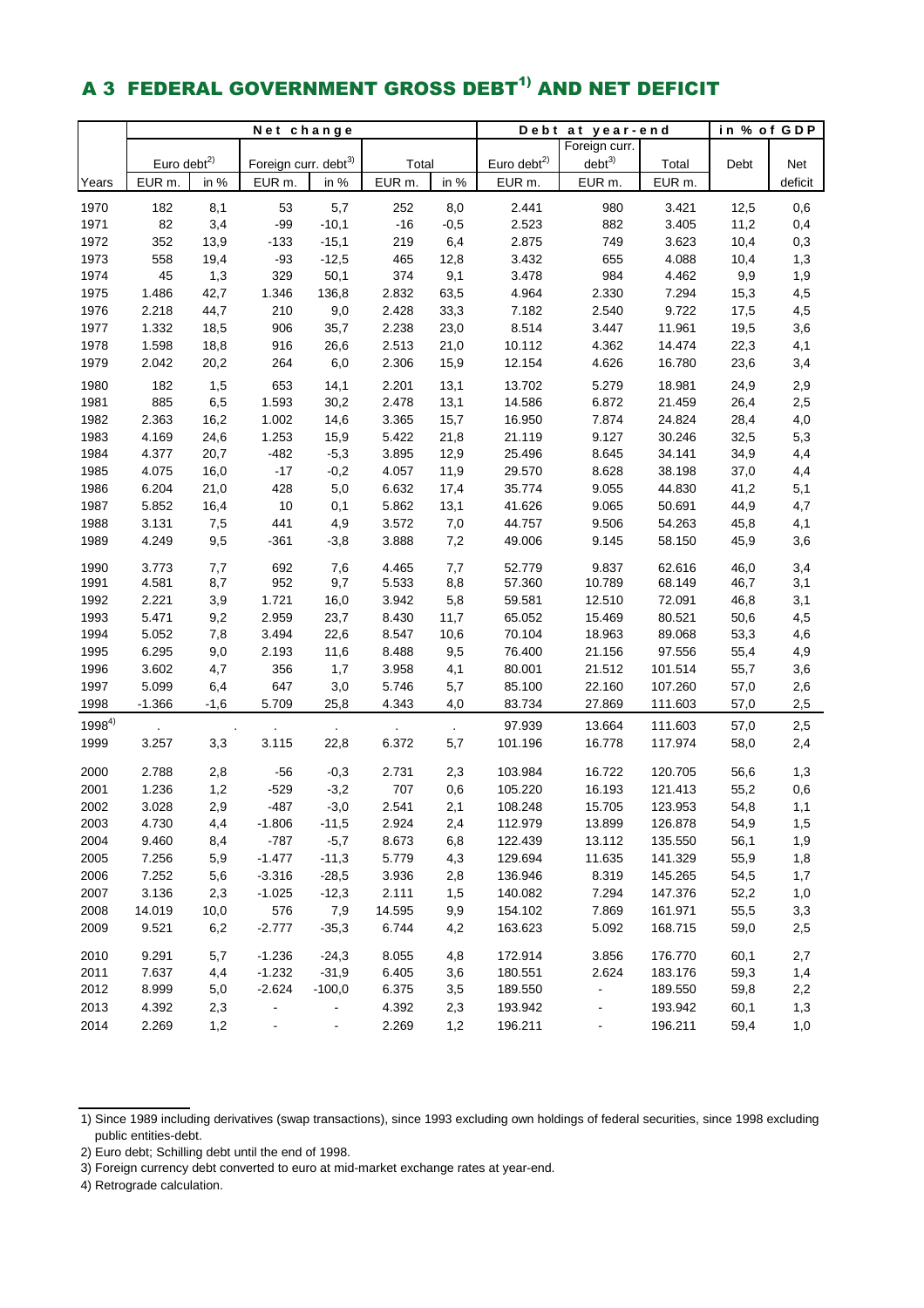# A 3 FEDERAL GOVERNMENT GROSS DEBT<sup>1)</sup> AND NET DEFICIT

|            | Net change        |        |                                  |                          |              |                | Debt              | in % of GDP                  |         |      |         |
|------------|-------------------|--------|----------------------------------|--------------------------|--------------|----------------|-------------------|------------------------------|---------|------|---------|
|            |                   |        |                                  |                          |              |                |                   | Foreign curr.                |         |      |         |
|            | Euro debt $^{2)}$ |        | Foreign curr. debt <sup>3)</sup> |                          | Total        |                | Euro debt $^{2)}$ | $debt^{3)}$                  | Total   | Debt | Net     |
| Years      | EUR <sub>m.</sub> | in %   | EUR m.                           | in %                     | EUR m.       | in %           | EUR m.            | EUR m.                       | EUR m.  |      | deficit |
| 1970       | 182               | 8,1    | 53                               | 5,7                      | 252          | 8,0            | 2.441             | 980                          | 3.421   | 12,5 | 0,6     |
| 1971       | 82                | 3,4    | $-99$                            | $-10,1$                  | $-16$        | $-0,5$         | 2.523             | 882                          | 3.405   | 11,2 | 0,4     |
| 1972       | 352               | 13,9   | $-133$                           | $-15,1$                  | 219          | 6,4            | 2.875             | 749                          | 3.623   | 10,4 | 0,3     |
| 1973       | 558               | 19,4   | $-93$                            | $-12,5$                  | 465          | 12,8           | 3.432             | 655                          | 4.088   | 10,4 | 1,3     |
| 1974       | 45                | 1,3    | 329                              | 50,1                     | 374          | 9,1            | 3.478             | 984                          | 4.462   | 9,9  | 1,9     |
| 1975       | 1.486             | 42,7   | 1.346                            | 136,8                    | 2.832        | 63,5           | 4.964             | 2.330                        | 7.294   | 15,3 | 4,5     |
| 1976       | 2.218             | 44,7   | 210                              | 9,0                      | 2.428        | 33,3           | 7.182             | 2.540                        | 9.722   | 17,5 | 4,5     |
| 1977       | 1.332             | 18,5   | 906                              | 35,7                     | 2.238        | 23,0           | 8.514             | 3.447                        | 11.961  | 19,5 | 3,6     |
| 1978       | 1.598             | 18,8   | 916                              | 26,6                     | 2.513        | 21,0           | 10.112            | 4.362                        | 14.474  | 22,3 | 4,1     |
| 1979       | 2.042             | 20,2   | 264                              | 6,0                      | 2.306        | 15,9           | 12.154            | 4.626                        | 16.780  | 23,6 | 3,4     |
| 1980       | 182               | 1,5    | 653                              | 14,1                     | 2.201        | 13,1           | 13.702            | 5.279                        | 18.981  | 24,9 | 2,9     |
| 1981       | 885               | 6,5    | 1.593                            | 30,2                     | 2.478        | 13,1           | 14.586            | 6.872                        | 21.459  | 26,4 | 2,5     |
| 1982       | 2.363             | 16,2   | 1.002                            | 14,6                     | 3.365        | 15,7           | 16.950            | 7.874                        | 24.824  | 28,4 | 4,0     |
| 1983       | 4.169             | 24,6   | 1.253                            | 15,9                     | 5.422        | 21,8           | 21.119            | 9.127                        | 30.246  | 32,5 | 5,3     |
| 1984       | 4.377             | 20,7   | $-482$                           | $-5,3$                   | 3.895        | 12,9           | 25.496            | 8.645                        | 34.141  | 34,9 | 4,4     |
| 1985       | 4.075             | 16,0   | $-17$                            | $-0,2$                   | 4.057        | 11,9           | 29.570            | 8.628                        | 38.198  | 37,0 | 4,4     |
| 1986       | 6.204             | 21,0   | 428                              | 5,0                      | 6.632        | 17,4           | 35.774            | 9.055                        | 44.830  | 41,2 | 5,1     |
| 1987       | 5.852             | 16,4   | 10                               | 0,1                      | 5.862        | 13,1           | 41.626            | 9.065                        | 50.691  | 44,9 | 4,7     |
| 1988       | 3.131             | 7,5    | 441                              | 4,9                      | 3.572        | 7,0            | 44.757            | 9.506                        | 54.263  | 45,8 | 4,1     |
| 1989       | 4.249             | 9,5    | $-361$                           | $-3,8$                   | 3.888        | 7,2            | 49.006            | 9.145                        | 58.150  | 45,9 | 3,6     |
| 1990       | 3.773             | 7,7    | 692                              | 7,6                      | 4.465        | 7,7            | 52.779            | 9.837                        | 62.616  | 46,0 | 3,4     |
| 1991       | 4.581             | 8,7    | 952                              | 9,7                      | 5.533        | 8,8            | 57.360            | 10.789                       | 68.149  | 46,7 | 3,1     |
| 1992       | 2.221             | 3,9    | 1.721                            | 16,0                     | 3.942        | 5,8            | 59.581            | 12.510                       | 72.091  | 46,8 | 3,1     |
| 1993       | 5.471             | 9,2    | 2.959                            | 23,7                     | 8.430        | 11,7           | 65.052            | 15.469                       | 80.521  | 50,6 | 4,5     |
| 1994       | 5.052             | 7,8    | 3.494                            | 22,6                     | 8.547        | 10,6           | 70.104            | 18.963                       | 89.068  | 53,3 | 4,6     |
| 1995       | 6.295             | 9,0    | 2.193                            | 11,6                     | 8.488        | 9,5            | 76.400            | 21.156                       | 97.556  | 55,4 | 4,9     |
| 1996       | 3.602             | 4,7    | 356                              | 1,7                      | 3.958        | 4,1            | 80.001            | 21.512                       | 101.514 | 55,7 | 3,6     |
| 1997       | 5.099             | 6,4    | 647                              | 3,0                      | 5.746        | 5,7            | 85.100            | 22.160                       | 107.260 | 57,0 | 2,6     |
| 1998       | $-1.366$          | $-1,6$ | 5.709                            | 25,8                     | 4.343        | 4,0            | 83.734            | 27.869                       | 111.603 | 57,0 | 2,5     |
| $1998^{4}$ |                   |        |                                  |                          |              |                | 97.939            | 13.664                       | 111.603 | 57,0 | 2,5     |
| 1999       | 3.257             | 3,3    | 3.115                            | 22,8                     | 6.372        | $\cdot$<br>5,7 | 101.196           | 16.778                       | 117.974 | 58,0 | 2,4     |
| 2000       | 2.788             |        | $-56$                            |                          |              |                | 103.984           | 16.722                       | 120.705 |      |         |
| 2001       | 1.236             | 2,8    | $-529$                           | $-0,3$                   | 2.731<br>707 | 2,3            | 105.220           |                              | 121.413 | 56,6 | 1,3     |
|            |                   | 1,2    |                                  | $-3,2$                   |              | 0,6            |                   | 16.193                       |         | 55,2 | 0,6     |
| 2002       | 3.028             | 2,9    | $-487$                           | $-3,0$                   | 2.541        | 2,1            | 108.248           | 15.705                       | 123.953 | 54,8 | 1,1     |
| 2003       | 4.730             | 4,4    | $-1.806$                         | $-11,5$                  | 2.924        | 2,4            | 112.979           | 13.899                       | 126.878 | 54,9 | 1,5     |
| 2004       | 9.460             | 8,4    | $-787$                           | $-5,7$                   | 8.673        | 6,8            | 122.439           | 13.112                       | 135.550 | 56,1 | 1,9     |
| 2005       | 7.256             | 5,9    | $-1.477$                         | $-11,3$                  | 5.779        | 4,3            | 129.694           | 11.635                       | 141.329 | 55,9 | 1,8     |
| 2006       | 7.252             | 5,6    | $-3.316$                         | $-28,5$                  | 3.936        | 2,8            | 136.946           | 8.319                        | 145.265 | 54,5 | 1,7     |
| 2007       | 3.136             | 2,3    | $-1.025$                         | $-12,3$                  | 2.111        | 1,5            | 140.082           | 7.294                        | 147.376 | 52,2 | 1,0     |
| 2008       | 14.019            | 10,0   | 576                              | 7,9                      | 14.595       | 9,9            | 154.102           | 7.869                        | 161.971 | 55,5 | 3,3     |
| 2009       | 9.521             | 6,2    | $-2.777$                         | $-35,3$                  | 6.744        | 4,2            | 163.623           | 5.092                        | 168.715 | 59,0 | 2,5     |
| 2010       | 9.291             | 5,7    | $-1.236$                         | $-24,3$                  | 8.055        | 4,8            | 172.914           | 3.856                        | 176.770 | 60,1 | 2,7     |
| 2011       | 7.637             | 4,4    | $-1.232$                         | $-31,9$                  | 6.405        | 3,6            | 180.551           | 2.624                        | 183.176 | 59,3 | 1,4     |
| 2012       | 8.999             | 5,0    | $-2.624$                         | $-100,0$                 | 6.375        | 3,5            | 189.550           | $\blacksquare$               | 189.550 | 59,8 | 2,2     |
| 2013       | 4.392             | 2,3    | $\blacksquare$                   | $\blacksquare$           | 4.392        | 2,3            | 193.942           | $\qquad \qquad \blacksquare$ | 193.942 | 60,1 | 1,3     |
| 2014       | 2.269             | 1,2    | $\blacksquare$                   | $\overline{\phantom{0}}$ | 2.269        | 1,2            | 196.211           | $\qquad \qquad \blacksquare$ | 196.211 | 59,4 | 1,0     |

<sup>1)</sup> Since 1989 including derivatives (swap transactions), since 1993 excluding own holdings of federal securities, since 1998 excluding public entities-debt.

<sup>2)</sup> Euro debt; Schilling debt until the end of 1998.

<sup>3)</sup> Foreign currency debt converted to euro at mid-market exchange rates at year-end.

<sup>4)</sup> Retrograde calculation.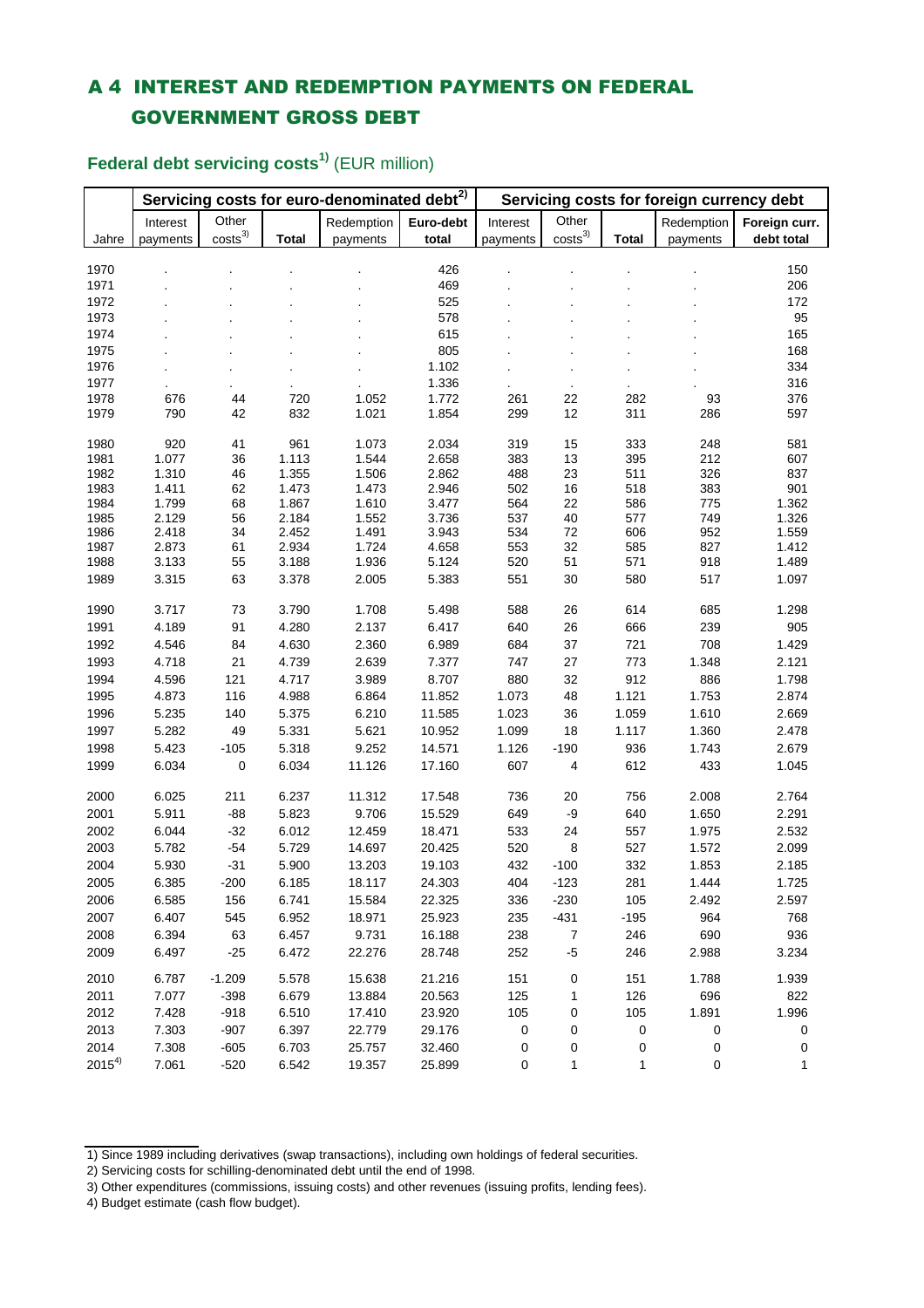## A 4 INTEREST AND REDEMPTION PAYMENTS ON FEDERAL GOVERNMENT GROSS DEBT

|              |                | Servicing costs for euro-denominated debt <sup>2)</sup> |                | Servicing costs for foreign currency debt |                |            |                    |              |            |                |
|--------------|----------------|---------------------------------------------------------|----------------|-------------------------------------------|----------------|------------|--------------------|--------------|------------|----------------|
|              | Interest       | Other                                                   |                | Redemption                                | Euro-debt      | Interest   | Other              |              | Redemption | Foreign curr.  |
| Jahre        | payments       | $\text{costs}^3$                                        | <b>Total</b>   | payments                                  | total          | payments   | costs <sup>3</sup> | <b>Total</b> | payments   | debt total     |
|              |                |                                                         |                |                                           |                |            |                    |              |            |                |
| 1970         |                |                                                         |                |                                           | 426            |            |                    |              |            | 150            |
| 1971         |                |                                                         |                |                                           | 469            |            |                    |              |            | 206            |
| 1972         |                |                                                         |                |                                           | 525            |            |                    |              |            | 172            |
| 1973         |                |                                                         |                |                                           | 578            |            |                    |              |            | 95             |
| 1974         |                |                                                         |                |                                           | 615            |            |                    |              |            | 165            |
| 1975         |                |                                                         |                |                                           | 805            |            |                    |              |            | 168            |
| 1976         |                |                                                         |                |                                           | 1.102          |            |                    |              |            | 334            |
| 1977         |                |                                                         |                |                                           | 1.336          |            | $\blacksquare$     |              |            | 316            |
| 1978         | 676            | 44                                                      | 720            | 1.052                                     | 1.772          | 261        | 22                 | 282          | 93         | 376            |
| 1979         | 790            | 42                                                      | 832            | 1.021                                     | 1.854          | 299        | 12                 | 311          | 286        | 597            |
| 1980         | 920            | 41                                                      | 961            | 1.073                                     | 2.034          | 319        | 15                 | 333          | 248        | 581            |
| 1981         | 1.077          | 36                                                      | 1.113          | 1.544                                     | 2.658          | 383        | 13                 | 395          | 212        | 607            |
| 1982         | 1.310          | 46                                                      | 1.355          | 1.506                                     | 2.862          | 488        | 23                 | 511          | 326        | 837            |
| 1983         | 1.411          | 62                                                      | 1.473          | 1.473                                     | 2.946          | 502        | 16                 | 518          | 383        | 901            |
| 1984         | 1.799          | 68                                                      | 1.867          | 1.610                                     | 3.477          | 564        | 22                 | 586          | 775        | 1.362          |
| 1985         | 2.129          | 56                                                      | 2.184          | 1.552                                     | 3.736          | 537        | 40                 | 577          | 749        | 1.326          |
| 1986         | 2.418          | 34                                                      | 2.452          | 1.491                                     | 3.943          | 534        | 72                 | 606          | 952        | 1.559          |
| 1987<br>1988 | 2.873<br>3.133 | 61<br>55                                                | 2.934<br>3.188 | 1.724<br>1.936                            | 4.658<br>5.124 | 553<br>520 | 32<br>51           | 585<br>571   | 827<br>918 | 1.412<br>1.489 |
|              |                |                                                         |                |                                           |                |            |                    |              | 517        | 1.097          |
| 1989         | 3.315          | 63                                                      | 3.378          | 2.005                                     | 5.383          | 551        | 30                 | 580          |            |                |
| 1990         | 3.717          | 73                                                      | 3.790          | 1.708                                     | 5.498          | 588        | 26                 | 614          | 685        | 1.298          |
| 1991         | 4.189          | 91                                                      | 4.280          | 2.137                                     | 6.417          | 640        | 26                 | 666          | 239        | 905            |
| 1992         | 4.546          | 84                                                      | 4.630          | 2.360                                     | 6.989          | 684        | 37                 | 721          | 708        | 1.429          |
| 1993         | 4.718          | 21                                                      | 4.739          | 2.639                                     | 7.377          | 747        | 27                 | 773          | 1.348      | 2.121          |
| 1994         | 4.596          | 121                                                     | 4.717          | 3.989                                     | 8.707          | 880        | 32                 | 912          | 886        | 1.798          |
| 1995         | 4.873          | 116                                                     | 4.988          | 6.864                                     | 11.852         | 1.073      | 48                 | 1.121        | 1.753      | 2.874          |
| 1996         | 5.235          | 140                                                     | 5.375          | 6.210                                     | 11.585         | 1.023      | 36                 | 1.059        | 1.610      | 2.669          |
| 1997         | 5.282          | 49                                                      | 5.331          | 5.621                                     | 10.952         | 1.099      | 18                 | 1.117        | 1.360      | 2.478          |
| 1998         | 5.423          | $-105$                                                  | 5.318          | 9.252                                     | 14.571         | 1.126      | $-190$             | 936          | 1.743      | 2.679          |
| 1999         | 6.034          | 0                                                       | 6.034          | 11.126                                    | 17.160         | 607        | 4                  | 612          | 433        | 1.045          |
| 2000         | 6.025          | 211                                                     | 6.237          | 11.312                                    | 17.548         | 736        | 20                 | 756          | 2.008      | 2.764          |
| 2001         | 5.911          | $-88$                                                   | 5.823          | 9.706                                     | 15.529         | 649        | -9                 | 640          | 1.650      | 2.291          |
| 2002         | 6.044          | $-32$                                                   | 6.012          | 12.459                                    | 18.471         | 533        | 24                 | 557          | 1.975      | 2.532          |
| 2003         | 5.782          | $-54$                                                   | 5.729          | 14.697                                    | 20.425         | 520        | 8                  | 527          | 1.572      | 2.099          |
| 2004         | 5.930          | $-31$                                                   | 5.900          | 13.203                                    | 19.103         | 432        | $-100$             | 332          | 1.853      | 2.185          |
| 2005         | 6.385          | $-200$                                                  | 6.185          | 18.117                                    | 24.303         | 404        | $-123$             | 281          | 1.444      | 1.725          |
| 2006         | 6.585          | 156                                                     | 6.741          | 15.584                                    | 22.325         | 336        | $-230$             | 105          | 2.492      | 2.597          |
| 2007         | 6.407          | 545                                                     | 6.952          | 18.971                                    | 25.923         | 235        | $-431$             | $-195$       | 964        | 768            |
|              | 6.394          |                                                         |                |                                           |                |            |                    |              |            |                |
| 2008         |                | 63                                                      | 6.457          | 9.731                                     | 16.188         | 238        | $\boldsymbol{7}$   | 246          | 690        | 936            |
| 2009         | 6.497          | $-25$                                                   | 6.472          | 22.276                                    | 28.748         | 252        | $-5$               | 246          | 2.988      | 3.234          |
| 2010         | 6.787          | $-1.209$                                                | 5.578          | 15.638                                    | 21.216         | 151        | 0                  | 151          | 1.788      | 1.939          |
| 2011         | 7.077          | $-398$                                                  | 6.679          | 13.884                                    | 20.563         | 125        | 1                  | 126          | 696        | 822            |
| 2012         | 7.428          | $-918$                                                  | 6.510          | 17.410                                    | 23.920         | 105        | 0                  | 105          | 1.891      | 1.996          |
| 2013         | 7.303          | $-907$                                                  | 6.397          | 22.779                                    | 29.176         | $\pmb{0}$  | 0                  | $\pmb{0}$    | 0          | 0              |
| 2014         | 7.308          | $-605$                                                  | 6.703          | 25.757                                    | 32.460         | 0          | 0                  | 0            | 0          | 0              |
| $2015^{4}$   | 7.061          | $-520$                                                  | 6.542          | 19.357                                    | 25.899         | 0          | 1                  | 1            | $\pmb{0}$  | 1              |

**Federal debt servicing costs1)** (EUR million)

4) Budget estimate (cash flow budget).

<sup>1)</sup> Since 1989 including derivatives (swap transactions), including own holdings of federal securities.

<sup>2)</sup> Servicing costs for schilling-denominated debt until the end of 1998.

<sup>3)</sup> Other expenditures (commissions, issuing costs) and other revenues (issuing profits, lending fees).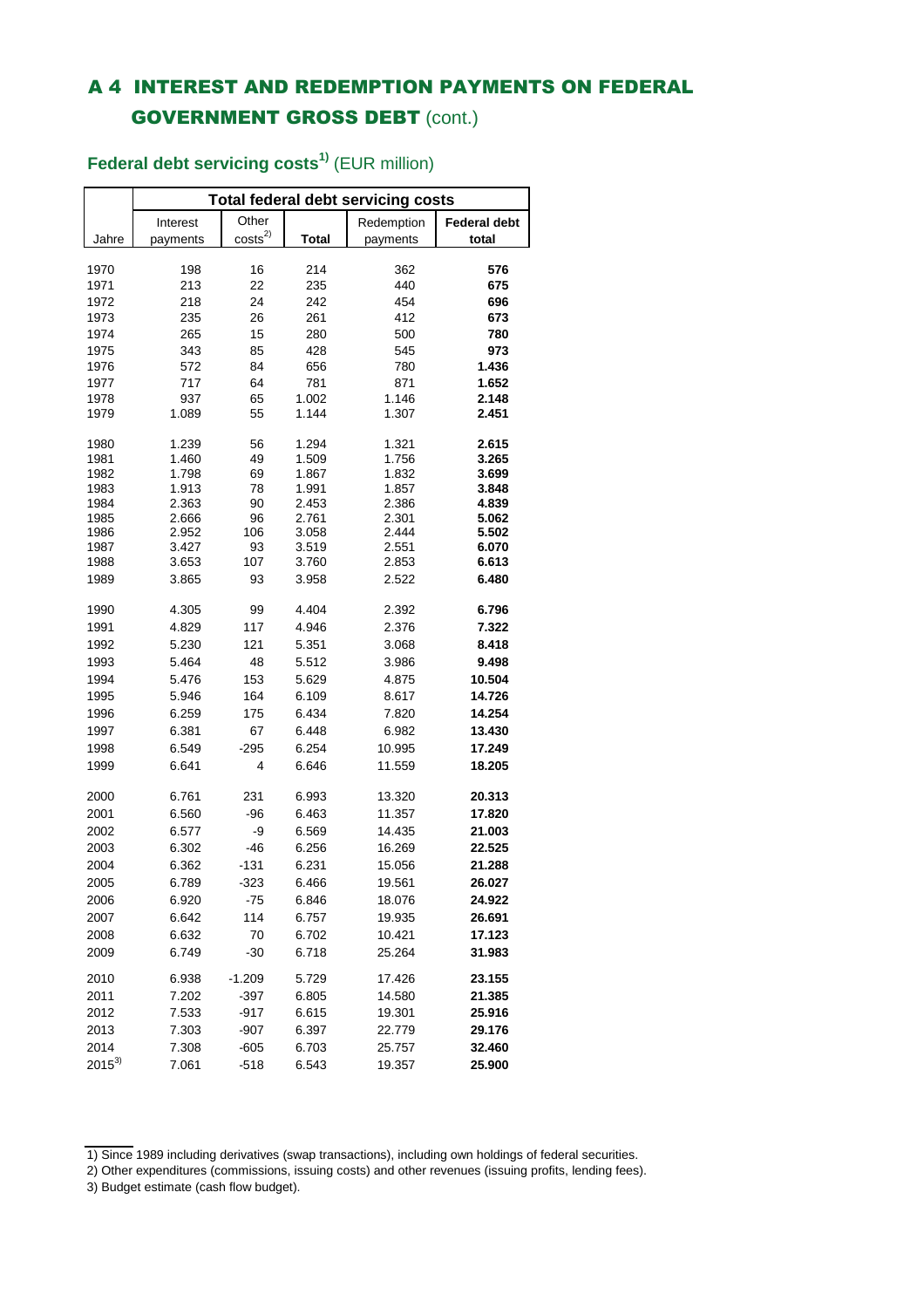## A 4 INTEREST AND REDEMPTION PAYMENTS ON FEDERAL GOVERNMENT GROSS DEBT (cont.)

|            | <b>Total federal debt servicing costs</b> |                    |       |            |                     |  |  |  |  |  |  |  |
|------------|-------------------------------------------|--------------------|-------|------------|---------------------|--|--|--|--|--|--|--|
|            | Interest                                  | Other              |       | Redemption | <b>Federal debt</b> |  |  |  |  |  |  |  |
| Jahre      | payments                                  | costs <sup>2</sup> | Total | payments   | total               |  |  |  |  |  |  |  |
|            |                                           |                    |       |            |                     |  |  |  |  |  |  |  |
| 1970       | 198                                       | 16                 | 214   | 362        | 576                 |  |  |  |  |  |  |  |
| 1971       | 213                                       | 22                 | 235   | 440        | 675                 |  |  |  |  |  |  |  |
| 1972       | 218                                       | 24                 | 242   | 454        | 696                 |  |  |  |  |  |  |  |
| 1973       | 235                                       | 26                 | 261   | 412        | 673                 |  |  |  |  |  |  |  |
| 1974       | 265                                       | 15                 | 280   | 500        | 780                 |  |  |  |  |  |  |  |
| 1975       | 343                                       | 85                 | 428   | 545        | 973                 |  |  |  |  |  |  |  |
| 1976       | 572                                       | 84                 | 656   | 780        | 1.436               |  |  |  |  |  |  |  |
| 1977       | 717                                       | 64                 | 781   | 871        | 1.652               |  |  |  |  |  |  |  |
| 1978       | 937                                       | 65                 | 1.002 | 1.146      | 2.148               |  |  |  |  |  |  |  |
| 1979       | 1.089                                     | 55                 | 1.144 | 1.307      | 2.451               |  |  |  |  |  |  |  |
| 1980       | 1.239                                     | 56                 | 1.294 | 1.321      | 2.615               |  |  |  |  |  |  |  |
| 1981       | 1.460                                     | 49                 | 1.509 | 1.756      | 3.265               |  |  |  |  |  |  |  |
| 1982       | 1.798                                     | 69                 | 1.867 | 1.832      | 3.699               |  |  |  |  |  |  |  |
| 1983       | 1.913                                     | 78                 | 1.991 | 1.857      | 3.848               |  |  |  |  |  |  |  |
| 1984       | 2.363                                     | 90                 | 2.453 | 2.386      | 4.839               |  |  |  |  |  |  |  |
| 1985       | 2.666                                     | 96                 | 2.761 | 2.301      | 5.062               |  |  |  |  |  |  |  |
| 1986       | 2.952                                     | 106                | 3.058 | 2.444      | 5.502               |  |  |  |  |  |  |  |
| 1987       | 3.427                                     | 93                 | 3.519 | 2.551      | 6.070               |  |  |  |  |  |  |  |
| 1988       | 3.653                                     | 107                | 3.760 | 2.853      | 6.613               |  |  |  |  |  |  |  |
| 1989       | 3.865                                     | 93                 | 3.958 | 2.522      | 6.480               |  |  |  |  |  |  |  |
| 1990       | 4.305                                     | 99                 | 4.404 | 2.392      | 6.796               |  |  |  |  |  |  |  |
| 1991       | 4.829                                     | 117                | 4.946 | 2.376      | 7.322               |  |  |  |  |  |  |  |
| 1992       | 5.230                                     | 121                | 5.351 | 3.068      | 8.418               |  |  |  |  |  |  |  |
| 1993       | 5.464                                     | 48                 | 5.512 | 3.986      | 9.498               |  |  |  |  |  |  |  |
| 1994       | 5.476                                     | 153                | 5.629 | 4.875      | 10.504              |  |  |  |  |  |  |  |
| 1995       | 5.946                                     | 164                | 6.109 | 8.617      | 14.726              |  |  |  |  |  |  |  |
| 1996       | 6.259                                     | 175                | 6.434 | 7.820      | 14.254              |  |  |  |  |  |  |  |
| 1997       | 6.381                                     | 67                 | 6.448 | 6.982      | 13.430              |  |  |  |  |  |  |  |
| 1998       | 6.549                                     | $-295$             | 6.254 | 10.995     | 17.249              |  |  |  |  |  |  |  |
| 1999       | 6.641                                     | 4                  | 6.646 | 11.559     | 18.205              |  |  |  |  |  |  |  |
|            |                                           | 231                | 6.993 | 13.320     |                     |  |  |  |  |  |  |  |
| 2000       | 6.761                                     |                    |       |            | 20.313              |  |  |  |  |  |  |  |
| 2001       | 6.560                                     | -96                | 6.463 | 11.357     | 17.820              |  |  |  |  |  |  |  |
| 2002       | 6.577                                     | -9                 | 6.569 | 14.435     | 21.003              |  |  |  |  |  |  |  |
| 2003       | 6.302                                     | $-46$              | 6.256 | 16.269     | 22.525              |  |  |  |  |  |  |  |
| 2004       | 6.362                                     | $-131$             | 6.231 | 15.056     | 21.288              |  |  |  |  |  |  |  |
| 2005       | 6.789                                     | -323               | 6.466 | 19.561     | 26.027              |  |  |  |  |  |  |  |
| 2006       | 6.920                                     | -75                | 6.846 | 18.076     | 24.922              |  |  |  |  |  |  |  |
| 2007       | 6.642                                     | 114                | 6.757 | 19.935     | 26.691              |  |  |  |  |  |  |  |
| 2008       | 6.632                                     | 70                 | 6.702 | 10.421     | 17.123              |  |  |  |  |  |  |  |
| 2009       | 6.749                                     | $-30$              | 6.718 | 25.264     | 31.983              |  |  |  |  |  |  |  |
| 2010       | 6.938                                     | $-1.209$           | 5.729 | 17.426     | 23.155              |  |  |  |  |  |  |  |
| 2011       | 7.202                                     | -397               | 6.805 | 14.580     | 21.385              |  |  |  |  |  |  |  |
| 2012       | 7.533                                     | $-917$             | 6.615 | 19.301     | 25.916              |  |  |  |  |  |  |  |
| 2013       | 7.303                                     | $-907$             | 6.397 | 22.779     | 29.176              |  |  |  |  |  |  |  |
| 2014       | 7.308                                     | $-605$             | 6.703 | 25.757     | 32.460              |  |  |  |  |  |  |  |
| $2015^{3}$ | 7.061                                     | $-518$             | 6.543 | 19.357     | 25.900              |  |  |  |  |  |  |  |

## **Federal debt servicing costs1)** (EUR million)

<sup>1)</sup> Since 1989 including derivatives (swap transactions), including own holdings of federal securities.

<sup>2)</sup> Other expenditures (commissions, issuing costs) and other revenues (issuing profits, lending fees).

<sup>3)</sup> Budget estimate (cash flow budget).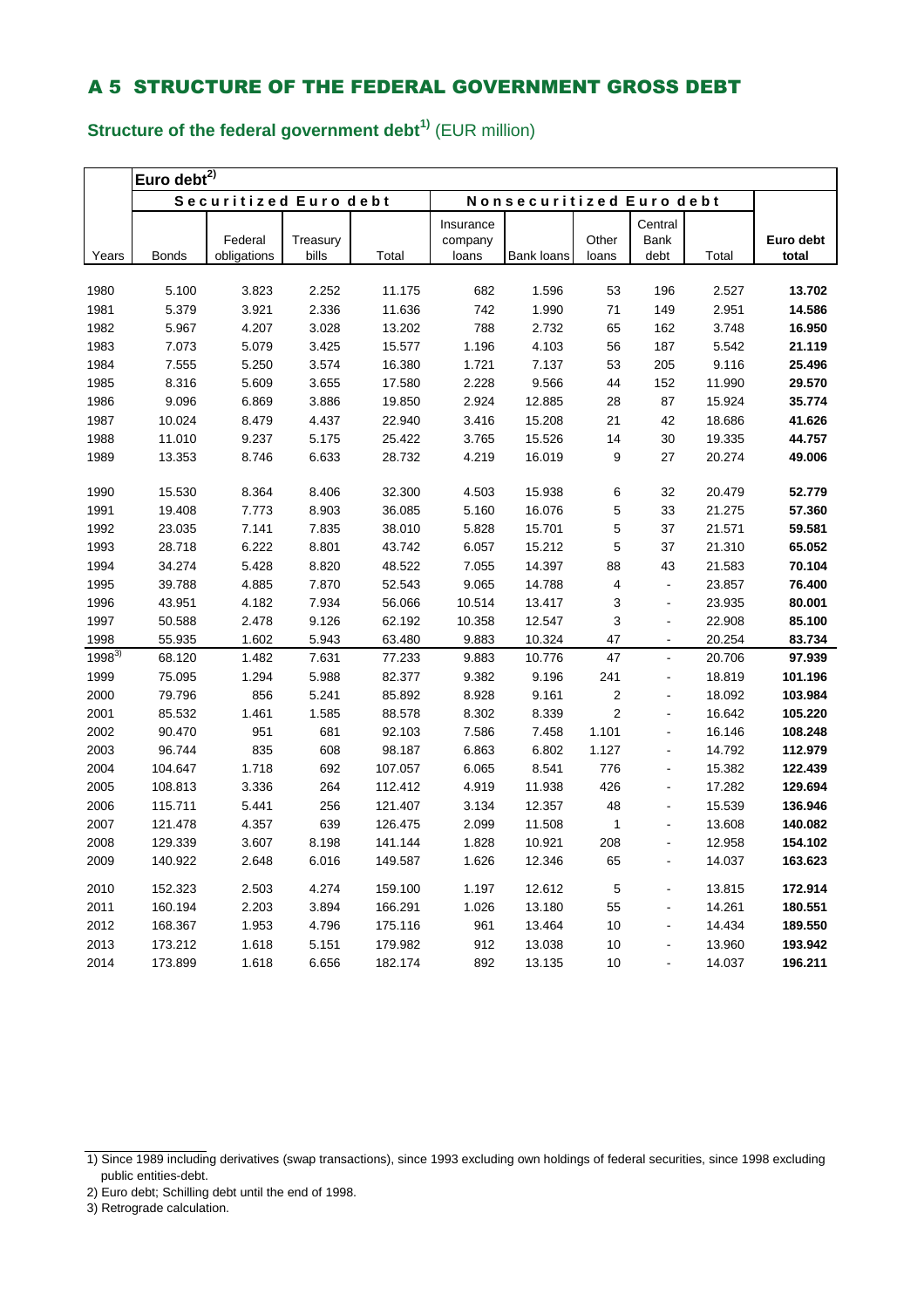# **Structure of the federal government debt1)** (EUR million)

|            | Euro debt $\overline{t^{2)}}$ |                       |          |         |           |                                 |                         |                |        |           |  |  |
|------------|-------------------------------|-----------------------|----------|---------|-----------|---------------------------------|-------------------------|----------------|--------|-----------|--|--|
|            |                               | Securitized Euro debt |          |         |           | <b>Nonsecuritized Euro debt</b> |                         |                |        |           |  |  |
|            |                               |                       |          |         | Insurance |                                 |                         | Central        |        |           |  |  |
|            |                               | Federal               | Treasury |         | company   |                                 | Other                   | <b>Bank</b>    |        | Euro debt |  |  |
| Years      | <b>Bonds</b>                  | obligations           | bills    | Total   | loans     | Bank loans                      | loans                   | debt           | Total  | total     |  |  |
| 1980       | 5.100                         | 3.823                 | 2.252    | 11.175  | 682       | 1.596                           | 53                      | 196            | 2.527  | 13.702    |  |  |
| 1981       | 5.379                         | 3.921                 | 2.336    | 11.636  | 742       | 1.990                           | 71                      | 149            | 2.951  | 14.586    |  |  |
| 1982       | 5.967                         | 4.207                 | 3.028    | 13.202  | 788       | 2.732                           | 65                      | 162            | 3.748  | 16.950    |  |  |
| 1983       | 7.073                         | 5.079                 | 3.425    | 15.577  | 1.196     | 4.103                           | 56                      | 187            | 5.542  | 21.119    |  |  |
| 1984       | 7.555                         | 5.250                 | 3.574    | 16.380  | 1.721     | 7.137                           | 53                      | 205            | 9.116  | 25.496    |  |  |
| 1985       | 8.316                         | 5.609                 | 3.655    | 17.580  | 2.228     | 9.566                           | 44                      | 152            | 11.990 | 29.570    |  |  |
| 1986       | 9.096                         | 6.869                 | 3.886    | 19.850  | 2.924     | 12.885                          | 28                      | 87             | 15.924 | 35.774    |  |  |
| 1987       | 10.024                        | 8.479                 | 4.437    | 22.940  | 3.416     | 15.208                          | 21                      | 42             | 18.686 | 41.626    |  |  |
| 1988       | 11.010                        | 9.237                 | 5.175    | 25.422  | 3.765     | 15.526                          | 14                      | 30             | 19.335 | 44.757    |  |  |
| 1989       | 13.353                        | 8.746                 | 6.633    | 28.732  | 4.219     | 16.019                          | 9                       | 27             | 20.274 | 49.006    |  |  |
|            |                               |                       |          |         |           |                                 |                         |                |        |           |  |  |
| 1990       | 15.530                        | 8.364                 | 8.406    | 32.300  | 4.503     | 15.938                          | 6                       | 32             | 20.479 | 52.779    |  |  |
| 1991       | 19.408                        | 7.773                 | 8.903    | 36.085  | 5.160     | 16.076                          | 5                       | 33             | 21.275 | 57.360    |  |  |
| 1992       | 23.035                        | 7.141                 | 7.835    | 38.010  | 5.828     | 15.701                          | 5                       | 37             | 21.571 | 59.581    |  |  |
| 1993       | 28.718                        | 6.222                 | 8.801    | 43.742  | 6.057     | 15.212                          | 5                       | 37             | 21.310 | 65.052    |  |  |
| 1994       | 34.274                        | 5.428                 | 8.820    | 48.522  | 7.055     | 14.397                          | 88                      | 43             | 21.583 | 70.104    |  |  |
| 1995       | 39.788                        | 4.885                 | 7.870    | 52.543  | 9.065     | 14.788                          | 4                       | $\blacksquare$ | 23.857 | 76.400    |  |  |
| 1996       | 43.951                        | 4.182                 | 7.934    | 56.066  | 10.514    | 13.417                          | 3                       | ä,             | 23.935 | 80.001    |  |  |
| 1997       | 50.588                        | 2.478                 | 9.126    | 62.192  | 10.358    | 12.547                          | 3                       |                | 22.908 | 85.100    |  |  |
| 1998       | 55.935                        | 1.602                 | 5.943    | 63.480  | 9.883     | 10.324                          | 47                      | $\overline{a}$ | 20.254 | 83.734    |  |  |
| $1998^{3}$ | 68.120                        | 1.482                 | 7.631    | 77.233  | 9.883     | 10.776                          | 47                      | $\overline{a}$ | 20.706 | 97.939    |  |  |
| 1999       | 75.095                        | 1.294                 | 5.988    | 82.377  | 9.382     | 9.196                           | 241                     | $\blacksquare$ | 18.819 | 101.196   |  |  |
| 2000       | 79.796                        | 856                   | 5.241    | 85.892  | 8.928     | 9.161                           | $\overline{\mathbf{c}}$ |                | 18.092 | 103.984   |  |  |
| 2001       | 85.532                        | 1.461                 | 1.585    | 88.578  | 8.302     | 8.339                           | $\overline{2}$          | $\overline{a}$ | 16.642 | 105.220   |  |  |
| 2002       | 90.470                        | 951                   | 681      | 92.103  | 7.586     | 7.458                           | 1.101                   | L,             | 16.146 | 108.248   |  |  |
| 2003       | 96.744                        | 835                   | 608      | 98.187  | 6.863     | 6.802                           | 1.127                   | ä,             | 14.792 | 112.979   |  |  |
| 2004       | 104.647                       | 1.718                 | 692      | 107.057 | 6.065     | 8.541                           | 776                     | $\overline{a}$ | 15.382 | 122.439   |  |  |
| 2005       | 108.813                       | 3.336                 | 264      | 112.412 | 4.919     | 11.938                          | 426                     | ä,             | 17.282 | 129.694   |  |  |
| 2006       | 115.711                       | 5.441                 | 256      | 121.407 | 3.134     | 12.357                          | 48                      | $\blacksquare$ | 15.539 | 136.946   |  |  |
| 2007       | 121.478                       | 4.357                 | 639      | 126.475 | 2.099     | 11.508                          | 1                       |                | 13.608 | 140.082   |  |  |
| 2008       | 129.339                       | 3.607                 | 8.198    | 141.144 | 1.828     | 10.921                          | 208                     | $\overline{a}$ | 12.958 | 154.102   |  |  |
| 2009       | 140.922                       | 2.648                 | 6.016    | 149.587 | 1.626     | 12.346                          | 65                      | $\blacksquare$ | 14.037 | 163.623   |  |  |
| 2010       | 152.323                       | 2.503                 | 4.274    | 159.100 | 1.197     | 12.612                          | 5                       | $\overline{a}$ | 13.815 | 172.914   |  |  |
| 2011       | 160.194                       | 2.203                 | 3.894    | 166.291 | 1.026     | 13.180                          | 55                      | $\overline{a}$ | 14.261 | 180.551   |  |  |
| 2012       | 168.367                       | 1.953                 | 4.796    | 175.116 | 961       | 13.464                          | 10                      | $\blacksquare$ | 14.434 | 189.550   |  |  |
| 2013       | 173.212                       | 1.618                 | 5.151    | 179.982 | 912       | 13.038                          | 10                      |                | 13.960 | 193.942   |  |  |
| 2014       | 173.899                       | 1.618                 | 6.656    | 182.174 | 892       | 13.135                          | 10                      |                | 14.037 | 196.211   |  |  |

<sup>1)</sup> Since 1989 including derivatives (swap transactions), since 1993 excluding own holdings of federal securities, since 1998 excluding public entities-debt.

<sup>2)</sup> Euro debt; Schilling debt until the end of 1998.

<sup>3)</sup> Retrograde calculation.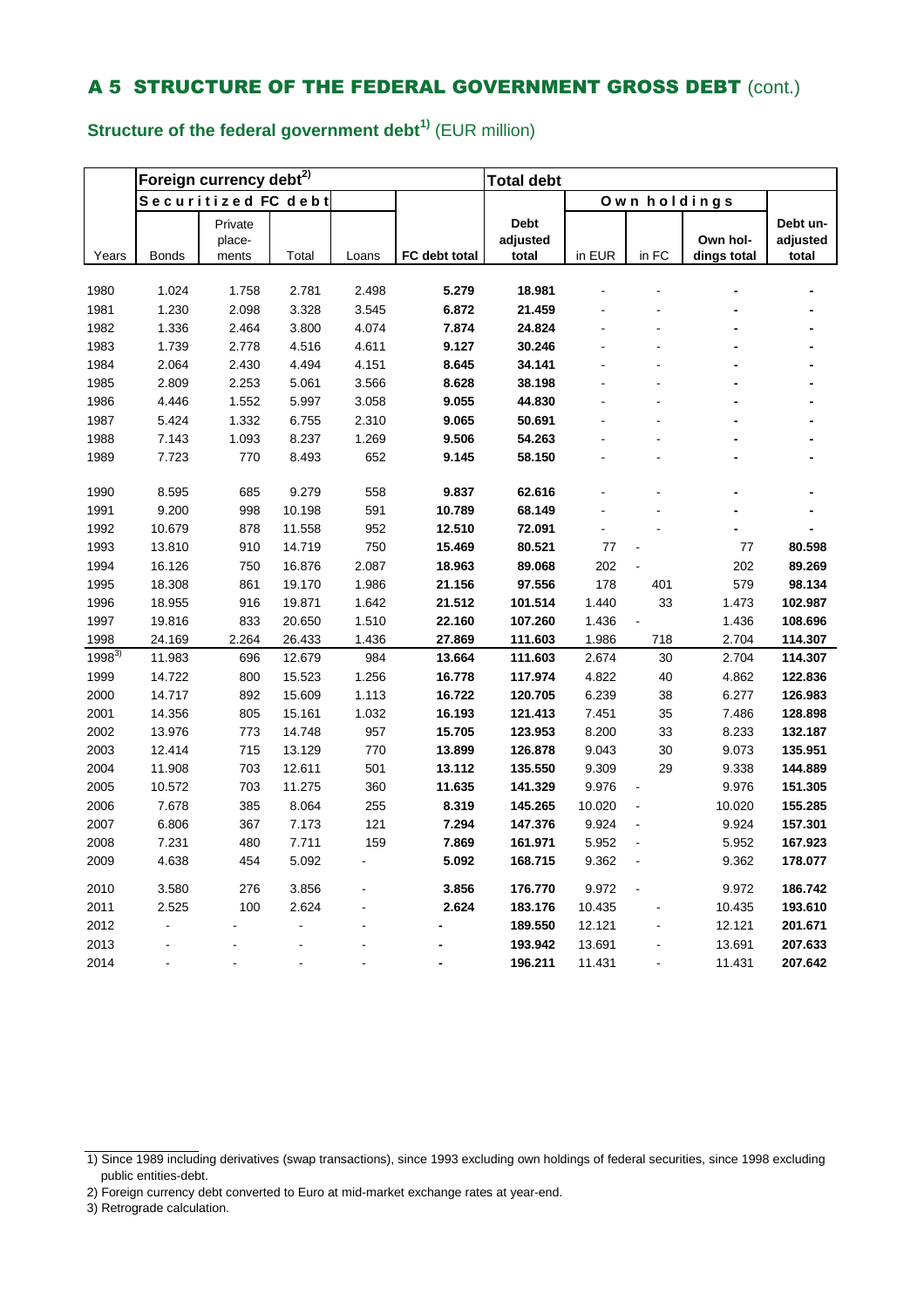## **Structure of the federal government debt1)** (EUR million)

|            |                | Foreign currency debt <sup>2)</sup> |                |       | <b>Total debt</b> |             |        |                |                    |          |
|------------|----------------|-------------------------------------|----------------|-------|-------------------|-------------|--------|----------------|--------------------|----------|
|            |                | Securitized FC debt                 |                |       |                   |             |        | Own holdings   |                    |          |
|            |                | Private                             |                |       |                   | <b>Debt</b> |        |                |                    | Debt un- |
|            |                | place-                              |                |       |                   | adjusted    |        |                | Own hol-           | adjusted |
| Years      | <b>Bonds</b>   | ments                               | Total          | Loans | FC debt total     | total       | in EUR | in FC          | <u>dings total</u> | total    |
|            |                |                                     |                |       |                   |             |        |                |                    |          |
| 1980       | 1.024          | 1.758                               | 2.781          | 2.498 | 5.279             | 18.981      |        |                |                    |          |
| 1981       | 1.230          | 2.098                               | 3.328          | 3.545 | 6.872             | 21.459      |        |                |                    |          |
| 1982       | 1.336          | 2.464                               | 3.800          | 4.074 | 7.874             | 24.824      |        |                |                    |          |
| 1983       | 1.739          | 2.778                               | 4.516          | 4.611 | 9.127             | 30.246      |        |                |                    |          |
| 1984       | 2.064          | 2.430                               | 4.494          | 4.151 | 8.645             | 34.141      |        |                |                    |          |
| 1985       | 2.809          | 2.253                               | 5.061          | 3.566 | 8.628             | 38.198      |        |                |                    |          |
| 1986       | 4.446          | 1.552                               | 5.997          | 3.058 | 9.055             | 44.830      |        |                |                    |          |
| 1987       | 5.424          | 1.332                               | 6.755          | 2.310 | 9.065             | 50.691      |        |                |                    |          |
| 1988       | 7.143          | 1.093                               | 8.237          | 1.269 | 9.506             | 54.263      |        |                |                    |          |
| 1989       | 7.723          | 770                                 | 8.493          | 652   | 9.145             | 58.150      |        |                |                    |          |
| 1990       | 8.595          | 685                                 | 9.279          | 558   | 9.837             | 62.616      |        |                |                    |          |
| 1991       | 9.200          | 998                                 | 10.198         | 591   | 10.789            | 68.149      |        |                |                    |          |
| 1992       | 10.679         | 878                                 | 11.558         | 952   | 12.510            | 72.091      |        |                |                    |          |
| 1993       | 13.810         | 910                                 | 14.719         | 750   | 15.469            | 80.521      | 77     |                | 77                 | 80.598   |
| 1994       | 16.126         | 750                                 | 16.876         | 2.087 | 18.963            | 89.068      | 202    |                | 202                | 89.269   |
| 1995       | 18.308         | 861                                 | 19.170         | 1.986 | 21.156            | 97.556      | 178    | 401            | 579                | 98.134   |
| 1996       | 18.955         | 916                                 | 19.871         | 1.642 | 21.512            | 101.514     | 1.440  | 33             | 1.473              | 102.987  |
| 1997       | 19.816         | 833                                 | 20.650         | 1.510 | 22.160            | 107.260     | 1.436  | $\blacksquare$ | 1.436              | 108.696  |
| 1998       | 24.169         | 2.264                               | 26.433         | 1.436 | 27.869            | 111.603     | 1.986  | 718            | 2.704              | 114.307  |
| $1998^{3}$ | 11.983         | 696                                 | 12.679         | 984   | 13.664            | 111.603     | 2.674  | 30             | 2.704              | 114.307  |
| 1999       | 14.722         | 800                                 | 15.523         | 1.256 | 16.778            | 117.974     | 4.822  | 40             | 4.862              | 122.836  |
| 2000       | 14.717         | 892                                 | 15.609         | 1.113 | 16.722            | 120.705     | 6.239  | 38             | 6.277              | 126.983  |
| 2001       | 14.356         | 805                                 | 15.161         | 1.032 | 16.193            | 121.413     | 7.451  | 35             | 7.486              | 128.898  |
| 2002       | 13.976         | 773                                 | 14.748         | 957   | 15.705            | 123.953     | 8.200  | 33             | 8.233              | 132.187  |
| 2003       | 12.414         | 715                                 | 13.129         | 770   | 13.899            | 126.878     | 9.043  | 30             | 9.073              | 135.951  |
| 2004       | 11.908         | 703                                 | 12.611         | 501   | 13.112            | 135.550     | 9.309  | 29             | 9.338              | 144.889  |
| 2005       | 10.572         | 703                                 | 11.275         | 360   | 11.635            | 141.329     | 9.976  | ä,             | 9.976              | 151.305  |
| 2006       | 7.678          | 385                                 | 8.064          | 255   | 8.319             | 145.265     | 10.020 |                | 10.020             | 155.285  |
| 2007       | 6.806          | 367                                 | 7.173          | 121   | 7.294             | 147.376     | 9.924  |                | 9.924              | 157.301  |
| 2008       | 7.231          | 480                                 | 7.711          | 159   | 7.869             | 161.971     | 5.952  |                | 5.952              | 167.923  |
| 2009       | 4.638          | 454                                 | 5.092          |       | 5.092             | 168.715     | 9.362  | L.             | 9.362              | 178.077  |
| 2010       | 3.580          | 276                                 | 3.856          |       | 3.856             | 176.770     | 9.972  |                | 9.972              | 186.742  |
| 2011       | 2.525          | 100                                 | 2.624          |       | 2.624             | 183.176     | 10.435 |                | 10.435             | 193.610  |
| 2012       | $\overline{a}$ |                                     | $\overline{a}$ |       |                   | 189.550     | 12.121 |                | 12.121             | 201.671  |
| 2013       |                |                                     |                |       |                   | 193.942     | 13.691 |                | 13.691             | 207.633  |
| 2014       |                |                                     | $\overline{a}$ |       |                   | 196.211     | 11.431 |                | 11.431             | 207.642  |

- 2) Foreign currency debt converted to Euro at mid-market exchange rates at year-end.
- 3) Retrograde calculation.

<sup>1)</sup> Since 1989 including derivatives (swap transactions), since 1993 excluding own holdings of federal securities, since 1998 excluding public entities-debt.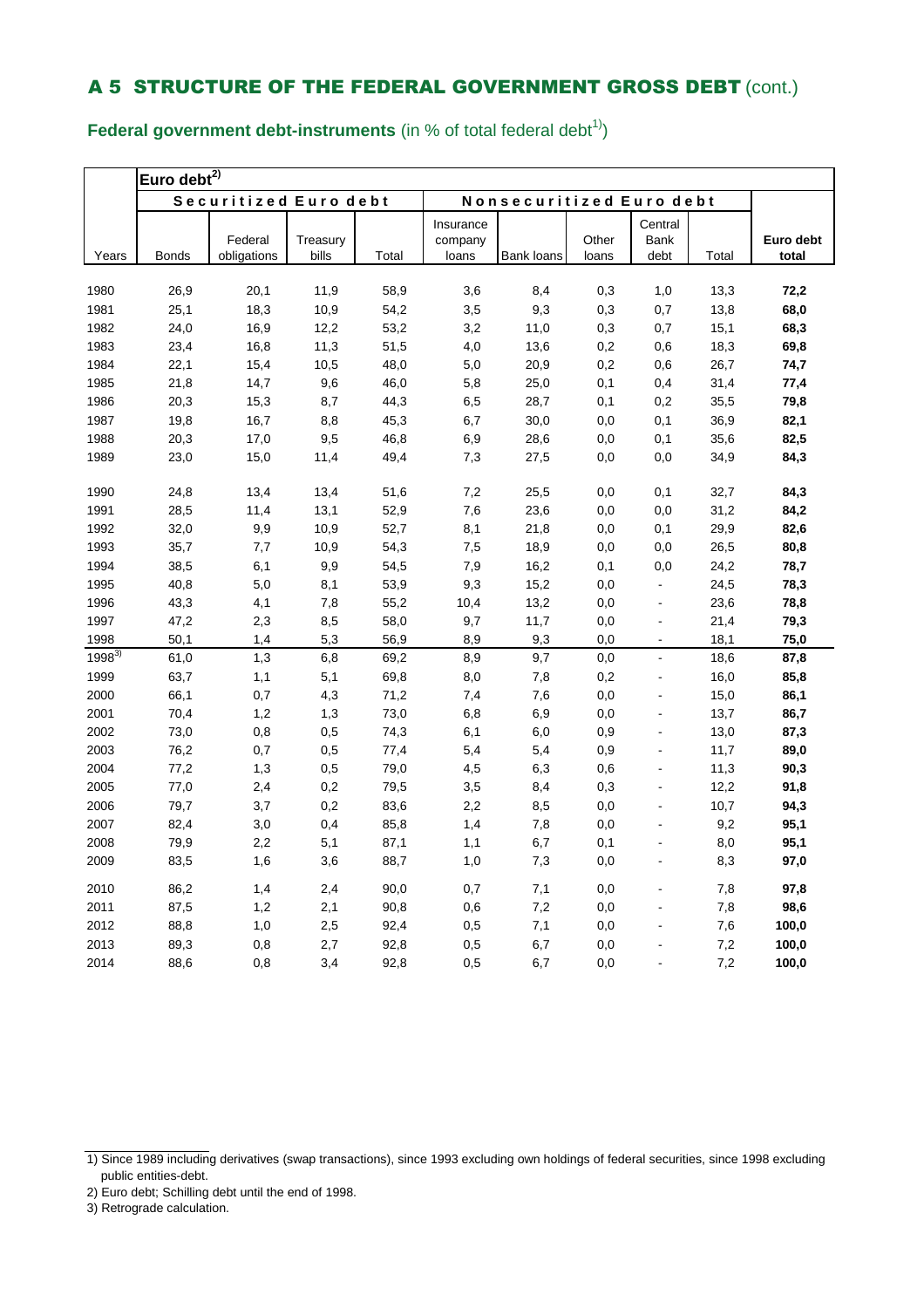**Federal government debt-instruments** (in % of total federal debt<sup>1)</sup>)

|            | Euro debt $^{2)}$ |                       |          |       |           |                          |       |                      |       |           |  |
|------------|-------------------|-----------------------|----------|-------|-----------|--------------------------|-------|----------------------|-------|-----------|--|
|            |                   | Securitized Euro debt |          |       |           | Nonsecuritized Euro debt |       |                      |       |           |  |
|            |                   |                       |          |       | Insurance |                          |       | Central              |       |           |  |
|            |                   | Federal               | Treasury |       | company   |                          | Other | Bank                 |       | Euro debt |  |
| Years      | <b>Bonds</b>      | obligations           | bills    | Total | loans     | Bank loans               | loans | debt                 | Total | total     |  |
| 1980       | 26,9              | 20,1                  | 11,9     | 58,9  | 3,6       | 8,4                      | 0,3   | 1,0                  | 13,3  | 72,2      |  |
| 1981       | 25,1              | 18,3                  | 10,9     | 54,2  | 3,5       | 9,3                      | 0,3   | 0,7                  | 13,8  | 68,0      |  |
| 1982       | 24,0              | 16,9                  | 12,2     | 53,2  | 3,2       | 11,0                     | 0,3   | 0,7                  | 15,1  | 68,3      |  |
| 1983       | 23,4              | 16,8                  | 11,3     | 51,5  | 4,0       | 13,6                     | 0,2   | 0,6                  | 18,3  | 69,8      |  |
| 1984       | 22,1              | 15,4                  | 10,5     | 48,0  | 5,0       | 20,9                     | 0,2   | 0,6                  | 26,7  | 74,7      |  |
| 1985       | 21,8              | 14,7                  | 9,6      | 46,0  | 5,8       | 25,0                     | 0,1   | 0,4                  | 31,4  | 77,4      |  |
| 1986       | 20,3              | 15,3                  | 8,7      | 44,3  | 6,5       | 28,7                     | 0,1   | 0,2                  | 35,5  | 79,8      |  |
| 1987       | 19,8              | 16,7                  | 8,8      | 45,3  | 6,7       | 30,0                     | 0,0   | 0,1                  | 36,9  | 82,1      |  |
| 1988       | 20,3              | 17,0                  | 9,5      | 46,8  | 6,9       | 28,6                     | 0,0   | 0,1                  | 35,6  | 82,5      |  |
| 1989       | 23,0              | 15,0                  | 11,4     | 49,4  | 7,3       | 27,5                     | 0,0   | 0,0                  | 34,9  | 84,3      |  |
| 1990       | 24,8              | 13,4                  | 13,4     | 51,6  | 7,2       | 25,5                     | 0,0   | 0,1                  | 32,7  | 84,3      |  |
| 1991       | 28,5              | 11,4                  | 13,1     | 52,9  | 7,6       | 23,6                     | 0,0   | 0,0                  | 31,2  | 84,2      |  |
| 1992       | 32,0              | 9,9                   | 10,9     | 52,7  | 8,1       | 21,8                     | 0,0   | 0,1                  | 29,9  | 82,6      |  |
| 1993       | 35,7              | 7,7                   | 10,9     | 54,3  | 7,5       | 18,9                     | 0,0   | 0,0                  | 26,5  | 80,8      |  |
| 1994       | 38,5              | 6,1                   | 9,9      | 54,5  | 7,9       | 16,2                     | 0,1   | 0,0                  | 24,2  | 78,7      |  |
| 1995       | 40,8              | 5,0                   | 8,1      | 53,9  | 9,3       | 15,2                     | 0,0   | $\blacksquare$       | 24,5  | 78,3      |  |
| 1996       | 43,3              | 4,1                   | 7,8      | 55,2  | 10,4      | 13,2                     | 0,0   | ä,                   | 23,6  | 78,8      |  |
| 1997       | 47,2              | 2,3                   | 8,5      | 58,0  | 9,7       | 11,7                     | 0,0   | $\blacksquare$       | 21,4  | 79,3      |  |
| 1998       | 50,1              | 1.4                   | 5,3      | 56,9  | 8,9       | 9,3                      | 0,0   | ÷,                   | 18,1  | 75,0      |  |
| $1998^{3}$ | 61,0              | 1,3                   | 6,8      | 69,2  | 8,9       | 9,7                      | 0,0   | $\blacksquare$       | 18,6  | 87,8      |  |
| 1999       | 63,7              | 1,1                   | 5,1      | 69,8  | 8,0       | 7,8                      | 0,2   | $\blacksquare$       | 16,0  | 85,8      |  |
| 2000       | 66,1              | 0,7                   | 4,3      | 71,2  | 7,4       | 7,6                      | 0,0   |                      | 15,0  | 86,1      |  |
| 2001       | 70,4              | 1,2                   | 1,3      | 73,0  | 6,8       | 6,9                      | 0,0   |                      | 13,7  | 86,7      |  |
| 2002       | 73,0              | 0,8                   | 0,5      | 74,3  | 6,1       | 6,0                      | 0,9   | ÷,                   | 13,0  | 87,3      |  |
| 2003       | 76,2              | 0,7                   | 0,5      | 77,4  | 5,4       | 5,4                      | 0,9   | $\ddot{\phantom{a}}$ | 11,7  | 89,0      |  |
| 2004       | 77,2              | 1,3                   | 0,5      | 79,0  | 4,5       | 6,3                      | 0,6   | $\overline{a}$       | 11,3  | 90,3      |  |
| 2005       | 77,0              | 2,4                   | 0,2      | 79,5  | 3,5       | 8,4                      | 0,3   | $\overline{a}$       | 12,2  | 91,8      |  |
| 2006       | 79,7              | 3,7                   | 0,2      | 83,6  | 2,2       | 8,5                      | 0,0   | $\overline{a}$       | 10,7  | 94,3      |  |
| 2007       | 82,4              | 3,0                   | 0,4      | 85,8  | 1,4       | 7,8                      | 0,0   |                      | 9,2   | 95,1      |  |
| 2008       | 79,9              | 2,2                   | 5,1      | 87,1  | 1,1       | 6,7                      | 0,1   |                      | 8,0   | 95,1      |  |
| 2009       | 83,5              | 1,6                   | 3,6      | 88,7  | 1,0       | 7,3                      | 0,0   | $\overline{a}$       | 8,3   | 97,0      |  |
| 2010       | 86,2              | 1,4                   | 2,4      | 90,0  | 0,7       | 7,1                      | 0,0   |                      | 7,8   | 97,8      |  |
| 2011       | 87,5              | 1,2                   | 2,1      | 90,8  | 0,6       | 7,2                      | 0,0   |                      | 7,8   | 98,6      |  |
| 2012       | 88,8              | 1,0                   | 2,5      | 92,4  | 0,5       | 7,1                      | 0,0   |                      | 7,6   | 100,0     |  |
| 2013       | 89,3              | 0,8                   | 2,7      | 92,8  | 0,5       | 6,7                      | 0,0   |                      | 7,2   | 100,0     |  |
| 2014       | 88,6              | 0,8                   | 3,4      | 92,8  | 0,5       | 6,7                      | 0,0   |                      | 7,2   | 100,0     |  |

<sup>1)</sup> Since 1989 including derivatives (swap transactions), since 1993 excluding own holdings of federal securities, since 1998 excluding public entities-debt.

<sup>2)</sup> Euro debt; Schilling debt until the end of 1998.

<sup>3)</sup> Retrograde calculation.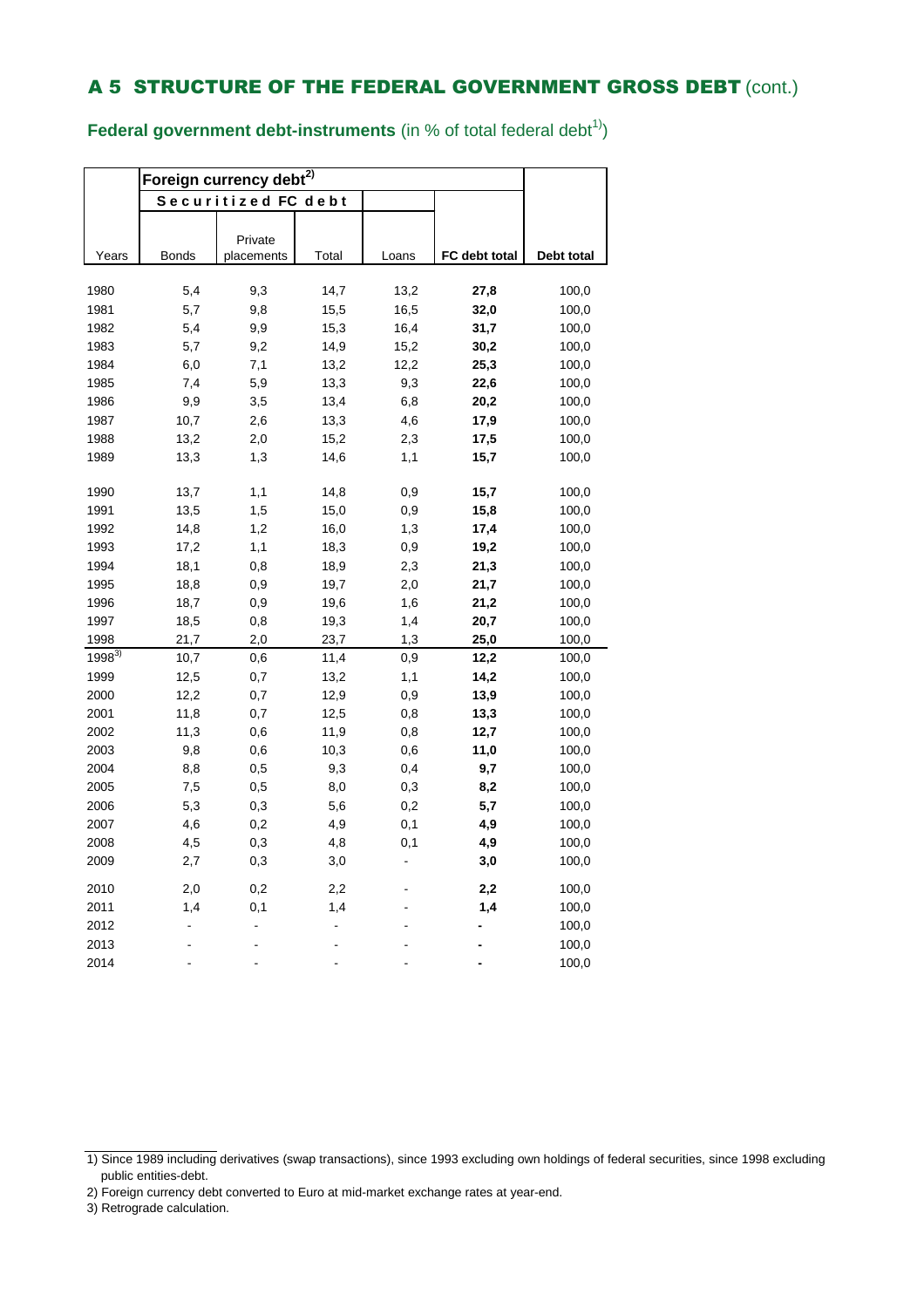**Federal government debt-instruments** (in % of total federal debt<sup>1)</sup>)

|            | Foreign currency debt <sup>2)</sup> |                     |       |       |               |            |
|------------|-------------------------------------|---------------------|-------|-------|---------------|------------|
|            |                                     | Securitized FC debt |       |       |               |            |
|            |                                     |                     |       |       |               |            |
|            |                                     | Private             |       |       |               |            |
| Years      | <b>Bonds</b>                        | placements          | Total | Loans | FC debt total | Debt total |
| 1980       | 5,4                                 | 9,3                 | 14,7  | 13,2  | 27,8          | 100,0      |
| 1981       | 5,7                                 | 9,8                 | 15,5  | 16,5  | 32,0          | 100,0      |
| 1982       | 5,4                                 | 9,9                 | 15,3  | 16,4  | 31,7          | 100,0      |
| 1983       | 5,7                                 | 9,2                 | 14,9  | 15,2  | 30,2          | 100,0      |
| 1984       | 6,0                                 | 7,1                 | 13,2  | 12,2  | 25,3          | 100,0      |
| 1985       | 7,4                                 | 5,9                 | 13,3  | 9,3   | 22,6          | 100,0      |
| 1986       | 9,9                                 | 3,5                 | 13,4  | 6,8   | 20,2          | 100,0      |
| 1987       | 10,7                                | 2,6                 | 13,3  | 4,6   | 17,9          | 100,0      |
| 1988       | 13,2                                | 2,0                 | 15,2  | 2,3   | 17,5          | 100,0      |
| 1989       | 13,3                                | 1,3                 | 14,6  | 1,1   | 15,7          | 100,0      |
|            |                                     |                     |       |       |               |            |
| 1990       | 13,7                                | 1,1                 | 14,8  | 0,9   | 15,7          | 100,0      |
| 1991       | 13,5                                | 1,5                 | 15,0  | 0,9   | 15,8          | 100,0      |
| 1992       | 14,8                                | 1,2                 | 16,0  | 1,3   | 17,4          | 100,0      |
| 1993       | 17,2                                | 1,1                 | 18,3  | 0,9   | 19,2          | 100,0      |
| 1994       | 18,1                                | 0,8                 | 18,9  | 2,3   | 21,3          | 100,0      |
| 1995       | 18,8                                | 0,9                 | 19,7  | 2,0   | 21,7          | 100,0      |
| 1996       | 18,7                                | 0,9                 | 19,6  | 1,6   | 21,2          | 100,0      |
| 1997       | 18,5                                | 0,8                 | 19,3  | 1,4   | 20,7          | 100,0      |
| 1998       | 21,7                                | 2,0                 | 23,7  | 1,3   | 25,0          | 100,0      |
| $1998^{3}$ | 10,7                                | 0,6                 | 11,4  | 0,9   | 12,2          | 100,0      |
| 1999       | 12,5                                | 0,7                 | 13,2  | 1,1   | 14,2          | 100,0      |
| 2000       | 12,2                                | 0,7                 | 12,9  | 0,9   | 13,9          | 100,0      |
| 2001       | 11,8                                | 0,7                 | 12,5  | 0,8   | 13,3          | 100,0      |
| 2002       | 11,3                                | 0,6                 | 11,9  | 0,8   | 12,7          | 100,0      |
| 2003       | 9,8                                 | 0,6                 | 10,3  | 0,6   | 11,0          | 100,0      |
| 2004       | 8,8                                 | 0,5                 | 9,3   | 0,4   | 9,7           | 100,0      |
| 2005       | 7,5                                 | 0,5                 | 8,0   | 0,3   | 8,2           | 100,0      |
| 2006       | 5,3                                 | 0,3                 | 5,6   | 0,2   | 5,7           | 100,0      |
| 2007       | 4,6                                 | 0,2                 | 4,9   | 0,1   | 4,9           | 100,0      |
| 2008       | 4,5                                 | 0,3                 | 4,8   | 0,1   | 4,9           | 100,0      |
| 2009       | 2,7                                 | 0,3                 | 3,0   |       | 3,0           | 100,0      |
| 2010       | 2,0                                 | 0,2                 | 2,2   |       | 2,2           | 100,0      |
| 2011       | 1,4                                 | 0,1                 | 1,4   |       | 1,4           | 100,0      |
| 2012       | $\overline{a}$                      |                     |       |       |               | 100,0      |
| 2013       |                                     |                     |       |       |               | 100,0      |
| 2014       |                                     |                     |       |       |               | 100,0      |

- 2) Foreign currency debt converted to Euro at mid-market exchange rates at year-end.
- 3) Retrograde calculation.

<sup>1)</sup> Since 1989 including derivatives (swap transactions), since 1993 excluding own holdings of federal securities, since 1998 excluding public entities-debt.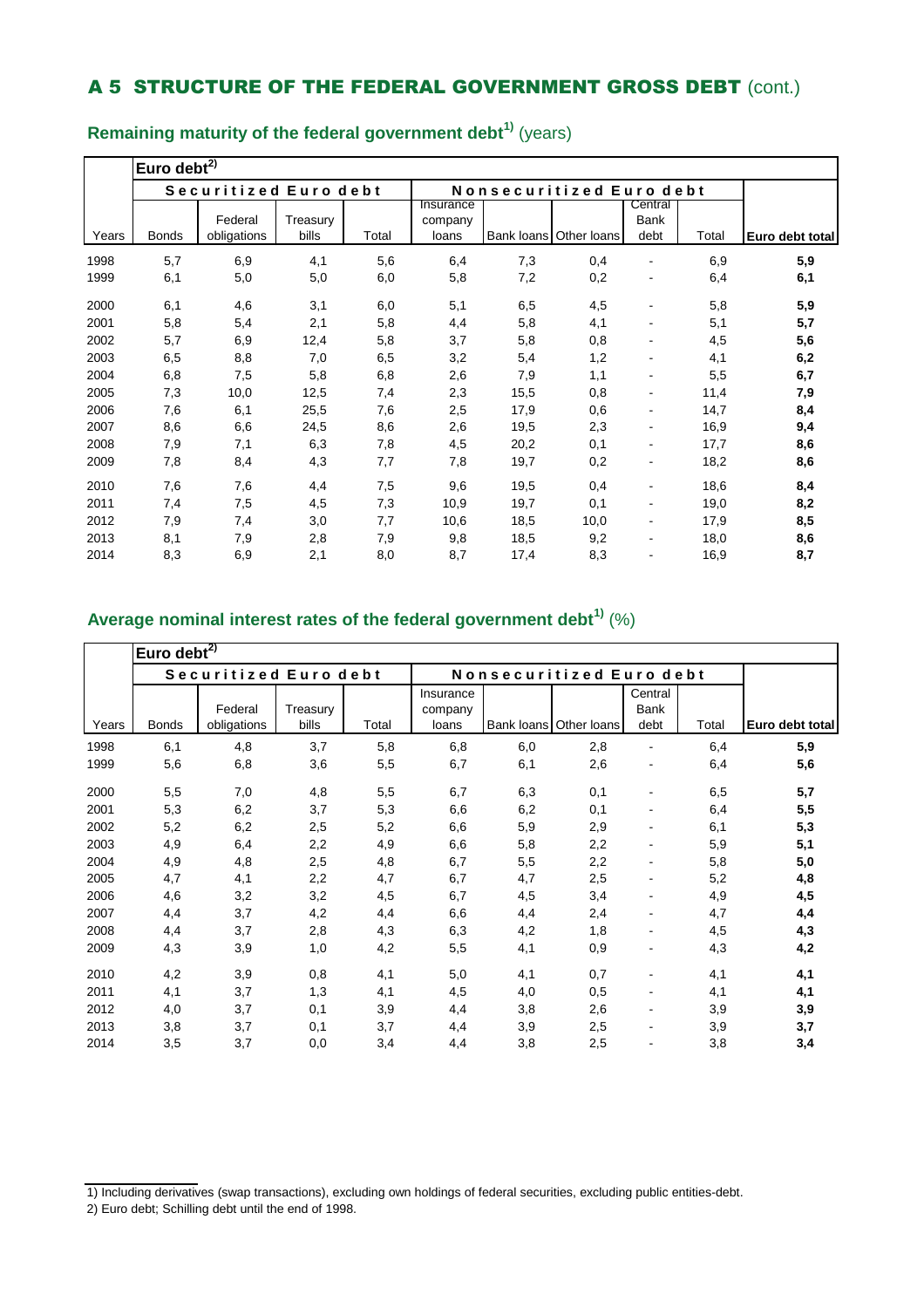|       | Euro debt $^{2)}$ |                        |                   |       |                               |      |                          |                                |       |                 |  |
|-------|-------------------|------------------------|-------------------|-------|-------------------------------|------|--------------------------|--------------------------------|-------|-----------------|--|
|       |                   | Securitized Euro debt  |                   |       |                               |      | Nonsecuritized Euro debt |                                |       |                 |  |
| Years | <b>Bonds</b>      | Federal<br>obligations | Treasury<br>bills | Total | Insurance<br>company<br>loans |      | Bank loans Other loans   | Central<br><b>Bank</b><br>debt | Total | Euro debt total |  |
| 1998  | 5,7               | 6,9                    | 4,1               | 5,6   | 6,4                           | 7,3  | 0,4                      |                                | 6,9   | 5,9             |  |
| 1999  | 6,1               | 5,0                    | 5,0               | 6,0   | 5,8                           | 7,2  | 0,2                      | $\qquad \qquad \blacksquare$   | 6,4   | 6,1             |  |
| 2000  | 6,1               | 4,6                    | 3,1               | 6,0   | 5,1                           | 6,5  | 4,5                      | ٠                              | 5,8   | 5,9             |  |
| 2001  | 5,8               | 5,4                    | 2,1               | 5,8   | 4,4                           | 5,8  | 4,1                      | $\qquad \qquad \blacksquare$   | 5,1   | 5,7             |  |
| 2002  | 5,7               | 6,9                    | 12,4              | 5,8   | 3,7                           | 5,8  | 0,8                      |                                | 4,5   | 5,6             |  |
| 2003  | 6,5               | 8,8                    | 7,0               | 6,5   | 3,2                           | 5,4  | 1,2                      | $\blacksquare$                 | 4,1   | 6,2             |  |
| 2004  | 6,8               | 7,5                    | 5,8               | 6,8   | 2,6                           | 7,9  | 1,1                      | $\blacksquare$                 | 5,5   | 6,7             |  |
| 2005  | 7,3               | 10,0                   | 12,5              | 7,4   | 2,3                           | 15,5 | 0,8                      | $\qquad \qquad \blacksquare$   | 11,4  | 7,9             |  |
| 2006  | 7,6               | 6,1                    | 25,5              | 7,6   | 2,5                           | 17,9 | 0,6                      | ۰                              | 14,7  | 8,4             |  |
| 2007  | 8,6               | 6,6                    | 24,5              | 8,6   | 2,6                           | 19,5 | 2,3                      | $\qquad \qquad \blacksquare$   | 16,9  | 9,4             |  |
| 2008  | 7,9               | 7,1                    | 6,3               | 7,8   | 4,5                           | 20,2 | 0,1                      | ٠                              | 17,7  | 8,6             |  |
| 2009  | 7,8               | 8,4                    | 4,3               | 7,7   | 7,8                           | 19,7 | 0,2                      |                                | 18,2  | 8,6             |  |
| 2010  | 7,6               | 7,6                    | 4,4               | 7,5   | 9,6                           | 19,5 | 0,4                      | $\blacksquare$                 | 18,6  | 8,4             |  |
| 2011  | 7,4               | 7,5                    | 4,5               | 7,3   | 10,9                          | 19,7 | 0,1                      | $\qquad \qquad \blacksquare$   | 19,0  | 8,2             |  |
| 2012  | 7,9               | 7,4                    | 3,0               | 7,7   | 10,6                          | 18,5 | 10,0                     | ۰                              | 17,9  | 8,5             |  |
| 2013  | 8,1               | 7,9                    | 2,8               | 7,9   | 9,8                           | 18,5 | 9,2                      |                                | 18,0  | 8,6             |  |
| 2014  | 8,3               | 6,9                    | 2,1               | 8,0   | 8,7                           | 17,4 | 8,3                      |                                | 16,9  | 8,7             |  |

**Remaining maturity of the federal government debt1)** (years)

### **Average nominal interest rates of the federal government debt1)** (%)

|       | Euro debt <sup>2)</sup> |                        |                   |       |                               |     |                          |                                |       |                 |
|-------|-------------------------|------------------------|-------------------|-------|-------------------------------|-----|--------------------------|--------------------------------|-------|-----------------|
|       |                         | Securitized Euro debt  |                   |       |                               |     | Nonsecuritized Euro debt |                                |       |                 |
| Years | <b>Bonds</b>            | Federal<br>obligations | Treasury<br>bills | Total | Insurance<br>company<br>loans |     | Bank loans Other loans   | Central<br><b>Bank</b><br>debt | Total | Euro debt total |
| 1998  | 6,1                     | 4,8                    | 3,7               | 5,8   | 6,8                           | 6,0 | 2,8                      |                                | 6,4   | 5,9             |
| 1999  | 5,6                     | 6,8                    | 3,6               | 5,5   | 6,7                           | 6,1 | 2,6                      |                                | 6,4   | 5,6             |
| 2000  | 5,5                     | 7,0                    | 4,8               | 5,5   | 6,7                           | 6,3 | 0,1                      |                                | 6,5   | 5,7             |
| 2001  | 5,3                     | 6,2                    | 3,7               | 5,3   | 6,6                           | 6,2 | 0,1                      |                                | 6,4   | 5,5             |
| 2002  | 5,2                     | 6,2                    | 2,5               | 5,2   | 6,6                           | 5,9 | 2,9                      |                                | 6,1   | 5,3             |
| 2003  | 4,9                     | 6,4                    | 2,2               | 4,9   | 6,6                           | 5,8 | 2,2                      |                                | 5,9   | 5,1             |
| 2004  | 4,9                     | 4,8                    | 2,5               | 4,8   | 6,7                           | 5,5 | 2,2                      |                                | 5,8   | 5,0             |
| 2005  | 4,7                     | 4,1                    | 2,2               | 4,7   | 6,7                           | 4,7 | 2,5                      |                                | 5,2   | 4,8             |
| 2006  | 4,6                     | 3,2                    | 3,2               | 4,5   | 6,7                           | 4,5 | 3,4                      |                                | 4,9   | 4,5             |
| 2007  | 4,4                     | 3,7                    | 4,2               | 4,4   | 6,6                           | 4,4 | 2,4                      | -                              | 4,7   | 4,4             |
| 2008  | 4,4                     | 3,7                    | 2,8               | 4,3   | 6,3                           | 4,2 | 1,8                      | $\blacksquare$                 | 4,5   | 4,3             |
| 2009  | 4,3                     | 3,9                    | 1,0               | 4,2   | 5,5                           | 4,1 | 0,9                      |                                | 4,3   | 4,2             |
| 2010  | 4,2                     | 3,9                    | 0,8               | 4,1   | 5,0                           | 4,1 | 0,7                      |                                | 4,1   | 4,1             |
| 2011  | 4,1                     | 3,7                    | 1,3               | 4,1   | 4,5                           | 4,0 | 0,5                      |                                | 4,1   | 4,1             |
| 2012  | 4,0                     | 3,7                    | 0,1               | 3,9   | 4,4                           | 3,8 | 2,6                      |                                | 3,9   | 3,9             |
| 2013  | 3,8                     | 3,7                    | 0,1               | 3,7   | 4,4                           | 3,9 | 2,5                      |                                | 3,9   | 3,7             |
| 2014  | 3,5                     | 3,7                    | 0,0               | 3,4   | 4,4                           | 3,8 | 2,5                      |                                | 3,8   | 3,4             |

<sup>1)</sup> Including derivatives (swap transactions), excluding own holdings of federal securities, excluding public entities-debt.

<sup>2)</sup> Euro debt; Schilling debt until the end of 1998.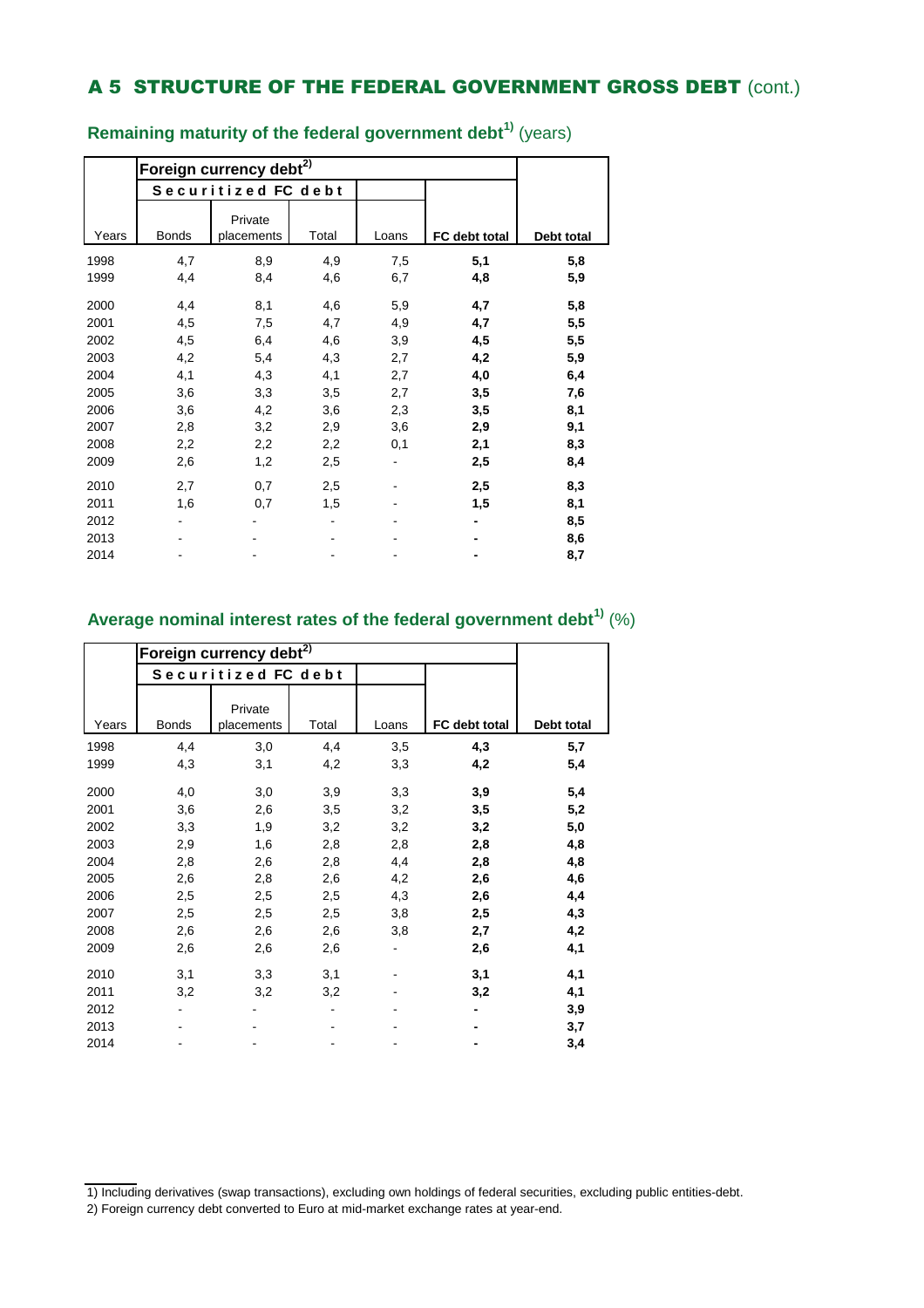|       |              | Foreign currency debt <sup>2)</sup> |       |       |               |            |  |  |  |  |  |  |  |
|-------|--------------|-------------------------------------|-------|-------|---------------|------------|--|--|--|--|--|--|--|
|       |              | Securitized FC debt                 |       |       |               |            |  |  |  |  |  |  |  |
| Years | <b>Bonds</b> | Private<br>placements               | Total | Loans | FC debt total | Debt total |  |  |  |  |  |  |  |
| 1998  | 4,7          | 8,9                                 | 4,9   | 7,5   | 5,1           | 5,8        |  |  |  |  |  |  |  |
| 1999  | 4,4          | 8,4                                 | 4,6   | 6,7   | 4,8           | 5,9        |  |  |  |  |  |  |  |
| 2000  | 4,4          | 8,1                                 | 4,6   | 5,9   | 4,7           | 5,8        |  |  |  |  |  |  |  |
| 2001  | 4,5          | 7,5                                 | 4,7   | 4,9   | 4,7           | 5,5        |  |  |  |  |  |  |  |
| 2002  | 4,5          | 6,4                                 | 4,6   | 3,9   | 4,5           | 5,5        |  |  |  |  |  |  |  |
| 2003  | 4,2          | 5,4                                 | 4,3   | 2,7   | 4,2           | 5,9        |  |  |  |  |  |  |  |
| 2004  | 4,1          | 4,3                                 | 4,1   | 2,7   | 4,0           | 6,4        |  |  |  |  |  |  |  |
| 2005  | 3,6          | 3,3                                 | 3,5   | 2,7   | 3,5           | 7,6        |  |  |  |  |  |  |  |
| 2006  | 3,6          | 4,2                                 | 3,6   | 2,3   | 3,5           | 8,1        |  |  |  |  |  |  |  |
| 2007  | 2,8          | 3,2                                 | 2,9   | 3,6   | 2,9           | 9,1        |  |  |  |  |  |  |  |
| 2008  | 2,2          | 2,2                                 | 2,2   | 0,1   | 2,1           | 8,3        |  |  |  |  |  |  |  |
| 2009  | 2,6          | 1,2                                 | 2,5   |       | 2,5           | 8,4        |  |  |  |  |  |  |  |
| 2010  | 2,7          | 0,7                                 | 2,5   |       | 2,5           | 8,3        |  |  |  |  |  |  |  |
| 2011  | 1,6          | 0,7                                 | 1,5   |       | 1,5           | 8,1        |  |  |  |  |  |  |  |
| 2012  |              |                                     |       |       |               | 8,5        |  |  |  |  |  |  |  |
| 2013  |              |                                     |       |       |               | 8,6        |  |  |  |  |  |  |  |
| 2014  |              |                                     |       |       |               | 8,7        |  |  |  |  |  |  |  |

**Remaining maturity of the federal government debt1)** (years)

### **Average nominal interest rates of the federal government debt1)** (%)

|       |              | Foreign currency debt <sup>2)</sup> |       |       |               |            |  |  |  |  |  |  |
|-------|--------------|-------------------------------------|-------|-------|---------------|------------|--|--|--|--|--|--|
|       |              | Securitized FC debt                 |       |       |               |            |  |  |  |  |  |  |
| Years | <b>Bonds</b> | Private<br>placements               | Total | Loans | FC debt total | Debt total |  |  |  |  |  |  |
| 1998  | 4,4          | 3,0                                 | 4,4   | 3,5   | 4,3           | 5,7        |  |  |  |  |  |  |
| 1999  | 4,3          | 3,1                                 | 4,2   | 3,3   | 4,2           | 5,4        |  |  |  |  |  |  |
| 2000  | 4,0          | 3,0                                 | 3,9   | 3,3   | 3,9           | 5,4        |  |  |  |  |  |  |
| 2001  | 3,6          | 2,6                                 | 3,5   | 3,2   | 3,5           | 5,2        |  |  |  |  |  |  |
| 2002  | 3,3          | 1,9                                 | 3,2   | 3,2   | 3,2           | 5,0        |  |  |  |  |  |  |
| 2003  | 2,9          | 1,6                                 | 2,8   | 2,8   | 2,8           | 4,8        |  |  |  |  |  |  |
| 2004  | 2,8          | 2,6                                 | 2,8   | 4,4   | 2,8           | 4,8        |  |  |  |  |  |  |
| 2005  | 2,6          | 2,8                                 | 2,6   | 4,2   | 2,6           | 4,6        |  |  |  |  |  |  |
| 2006  | 2,5          | 2,5                                 | 2,5   | 4,3   | 2,6           | 4,4        |  |  |  |  |  |  |
| 2007  | 2,5          | 2,5                                 | 2,5   | 3,8   | 2,5           | 4,3        |  |  |  |  |  |  |
| 2008  | 2,6          | 2,6                                 | 2,6   | 3,8   | 2,7           | 4,2        |  |  |  |  |  |  |
| 2009  | 2,6          | 2,6                                 | 2,6   |       | 2,6           | 4,1        |  |  |  |  |  |  |
| 2010  | 3,1          | 3,3                                 | 3,1   |       | 3,1           | 4,1        |  |  |  |  |  |  |
| 2011  | 3,2          | 3,2                                 | 3,2   |       | 3,2           | 4,1        |  |  |  |  |  |  |
| 2012  |              |                                     |       |       |               | 3,9        |  |  |  |  |  |  |
| 2013  |              |                                     |       |       |               | 3,7        |  |  |  |  |  |  |
| 2014  |              |                                     |       |       |               | 3,4        |  |  |  |  |  |  |

<sup>1)</sup> Including derivatives (swap transactions), excluding own holdings of federal securities, excluding public entities-debt.

<sup>2)</sup> Foreign currency debt converted to Euro at mid-market exchange rates at year-end.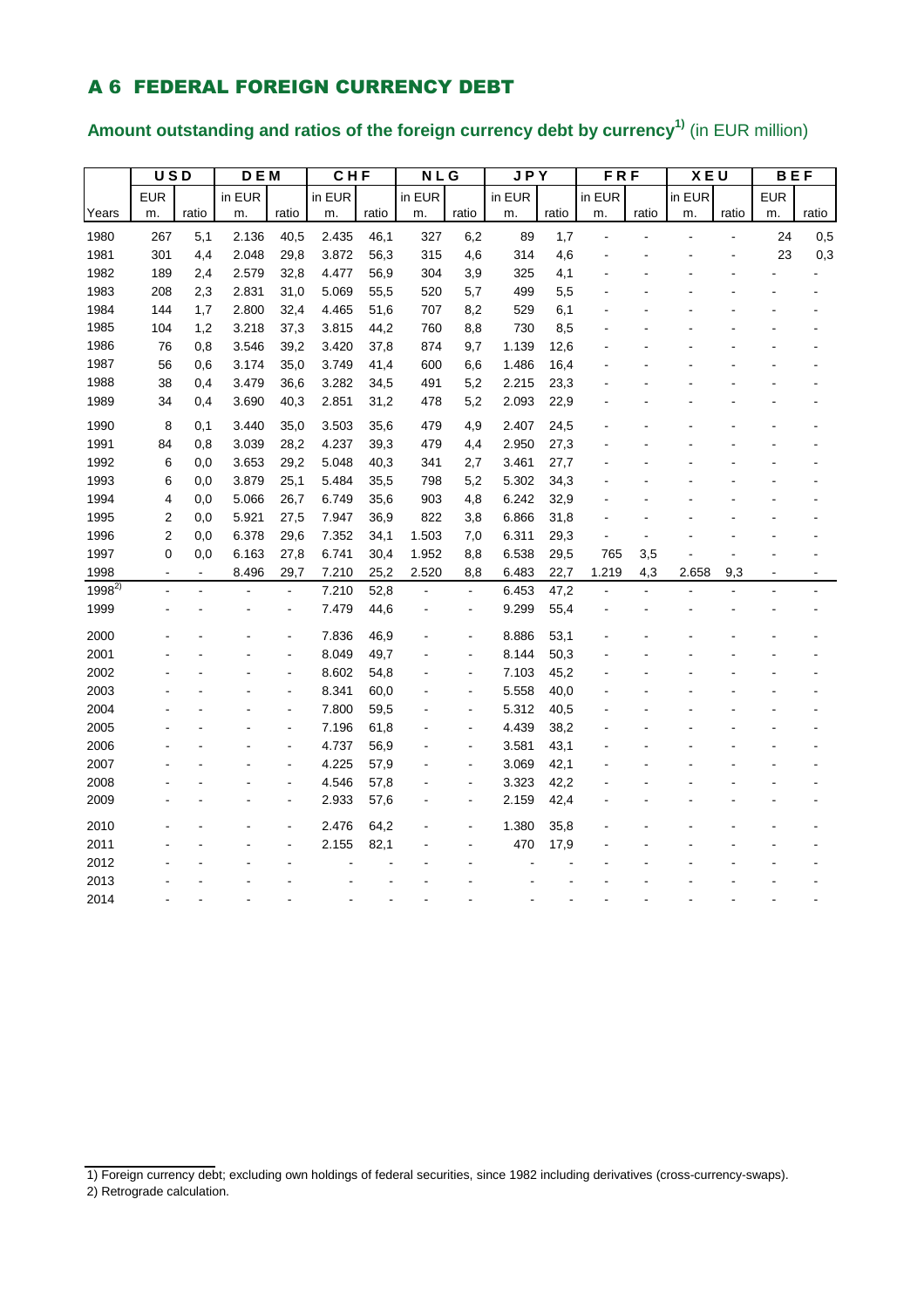## A 6 FEDERAL FOREIGN CURRENCY DEBT

# **Amount outstanding and ratios of the foreign currency debt by currency1)** (in EUR million)

|            | $\overline{USD}$ |                | D E M  |                | CHF    |       | <b>NLG</b> |                | <b>JPY</b> |       | <b>FRF</b> |       | <b>XEU</b> |       | <b>BEF</b> |       |
|------------|------------------|----------------|--------|----------------|--------|-------|------------|----------------|------------|-------|------------|-------|------------|-------|------------|-------|
|            | <b>EUR</b>       |                | in EUR |                | in EUR |       | in EUR     |                | in EUR     |       | in EUR     |       | in EUR     |       | <b>EUR</b> |       |
| Years      | m.               | ratio          | m.     | ratio          | m.     | ratio | m.         | ratio          | m.         | ratio | m.         | ratio | m.         | ratio | m.         | ratio |
| 1980       | 267              | 5,1            | 2.136  | 40,5           | 2.435  | 46,1  | 327        | 6,2            | 89         | 1,7   |            |       |            |       | 24         | 0,5   |
| 1981       | 301              | 4,4            | 2.048  | 29,8           | 3.872  | 56,3  | 315        | 4,6            | 314        | 4,6   |            |       |            |       | 23         | 0,3   |
| 1982       | 189              | 2,4            | 2.579  | 32,8           | 4.477  | 56,9  | 304        | 3,9            | 325        | 4,1   |            |       |            |       |            |       |
| 1983       | 208              | 2,3            | 2.831  | 31,0           | 5.069  | 55,5  | 520        | 5,7            | 499        | 5,5   |            |       |            |       |            |       |
| 1984       | 144              | 1,7            | 2.800  | 32,4           | 4.465  | 51,6  | 707        | 8,2            | 529        | 6,1   |            |       |            |       |            |       |
| 1985       | 104              | 1,2            | 3.218  | 37,3           | 3.815  | 44,2  | 760        | 8,8            | 730        | 8,5   |            |       |            |       |            |       |
| 1986       | 76               | 0,8            | 3.546  | 39,2           | 3.420  | 37,8  | 874        | 9,7            | 1.139      | 12,6  |            |       |            |       |            |       |
| 1987       | 56               | 0,6            | 3.174  | 35,0           | 3.749  | 41,4  | 600        | 6,6            | 1.486      | 16,4  |            |       |            |       |            |       |
| 1988       | 38               | 0,4            | 3.479  | 36,6           | 3.282  | 34,5  | 491        | 5,2            | 2.215      | 23,3  |            |       |            |       |            |       |
| 1989       | 34               | 0,4            | 3.690  | 40,3           | 2.851  | 31,2  | 478        | 5,2            | 2.093      | 22,9  |            |       |            |       |            |       |
| 1990       | 8                | 0,1            | 3.440  | 35,0           | 3.503  | 35,6  | 479        | 4,9            | 2.407      | 24,5  |            |       |            |       |            |       |
| 1991       | 84               | 0,8            | 3.039  | 28,2           | 4.237  | 39,3  | 479        | 4,4            | 2.950      | 27,3  |            |       |            |       |            |       |
| 1992       | 6                | 0,0            | 3.653  | 29,2           | 5.048  | 40,3  | 341        | 2,7            | 3.461      | 27,7  |            |       |            |       |            |       |
| 1993       | 6                | 0,0            | 3.879  | 25,1           | 5.484  | 35,5  | 798        | 5,2            | 5.302      | 34,3  |            |       |            |       |            |       |
| 1994       | 4                | 0,0            | 5.066  | 26,7           | 6.749  | 35,6  | 903        | 4,8            | 6.242      | 32,9  |            |       |            |       |            |       |
| 1995       | $\overline{2}$   | 0,0            | 5.921  | 27,5           | 7.947  | 36,9  | 822        | 3,8            | 6.866      | 31,8  |            |       |            |       |            |       |
| 1996       | 2                | 0,0            | 6.378  | 29,6           | 7.352  | 34,1  | 1.503      | 7,0            | 6.311      | 29,3  |            |       |            |       |            |       |
| 1997       | 0                | 0,0            | 6.163  | 27,8           | 6.741  | 30,4  | 1.952      | 8,8            | 6.538      | 29,5  | 765        | 3,5   |            |       |            |       |
| 1998       |                  | $\blacksquare$ | 8.496  | 29,7           | 7.210  | 25,2  | 2.520      | 8,8            | 6.483      | 22,7  | 1.219      | 4,3   | 2.658      | 9,3   |            |       |
| $1998^{2}$ |                  |                |        | $\blacksquare$ | 7.210  | 52,8  |            | ä,             | 6.453      | 47,2  |            | ÷,    |            |       |            |       |
| 1999       |                  |                |        | $\overline{a}$ | 7.479  | 44,6  |            | $\blacksquare$ | 9.299      | 55,4  |            |       |            |       |            |       |
| 2000       |                  |                |        | Ĭ.             | 7.836  | 46,9  |            | Ĭ.             | 8.886      | 53,1  |            |       |            |       |            |       |
| 2001       |                  |                |        | Ĭ.             | 8.049  | 49,7  |            | Ĭ.             | 8.144      | 50,3  |            |       |            |       |            |       |
| 2002       |                  |                |        | ä,             | 8.602  | 54,8  |            | L,             | 7.103      | 45,2  |            |       |            |       |            |       |
| 2003       |                  |                |        | Ĭ.             | 8.341  | 60,0  |            | Ĭ.             | 5.558      | 40,0  |            |       |            |       |            |       |
| 2004       |                  |                |        | $\overline{a}$ | 7.800  | 59,5  |            | Ĭ.             | 5.312      | 40,5  |            |       |            |       |            |       |
| 2005       |                  |                |        | ä,             | 7.196  | 61,8  |            | ÷,             | 4.439      | 38,2  |            |       |            |       |            |       |
| 2006       |                  |                |        | $\overline{a}$ | 4.737  | 56,9  |            | $\overline{a}$ | 3.581      | 43,1  |            |       |            |       |            |       |
| 2007       |                  |                |        | -              | 4.225  | 57,9  |            | Ĭ.             | 3.069      | 42,1  |            |       |            |       |            |       |
| 2008       |                  |                |        | L              | 4.546  | 57,8  |            | L,             | 3.323      | 42,2  |            |       |            |       |            |       |
| 2009       |                  |                |        | $\overline{a}$ | 2.933  | 57,6  |            | Ĭ.             | 2.159      | 42,4  |            |       |            |       |            |       |
| 2010       |                  |                |        | L              | 2.476  | 64,2  |            | L              | 1.380      | 35,8  |            |       |            |       |            |       |
| 2011       |                  |                |        |                | 2.155  | 82,1  |            |                | 470        | 17,9  |            |       |            |       |            |       |
| 2012       |                  |                |        |                |        |       |            |                |            |       |            |       |            |       |            |       |
| 2013       |                  |                |        |                |        |       |            |                |            |       |            |       |            |       |            |       |
| 2014       |                  |                |        |                |        |       |            |                |            |       |            |       |            |       |            |       |

<sup>1)</sup> Foreign currency debt; excluding own holdings of federal securities, since 1982 including derivatives (cross-currency-swaps).

<sup>2)</sup> Retrograde calculation.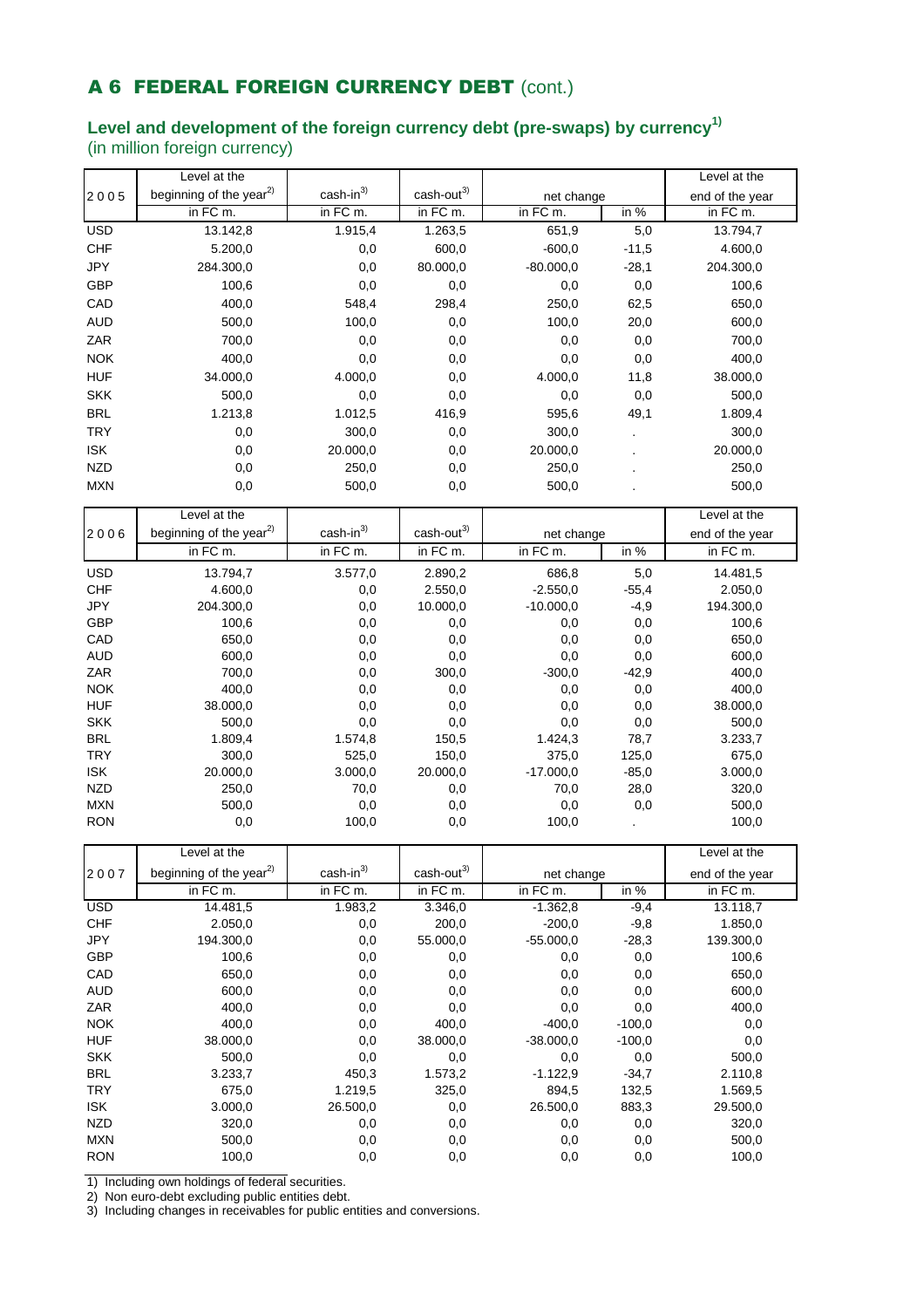## A 6 FEDERAL FOREIGN CURRENCY DEBT (cont.)

# **Level and development of the foreign currency debt (pre-swaps) by currency1)**

(in million foreign currency)

|                          | Level at the                        |                                       |                                        |                    |                 | Level at the          |
|--------------------------|-------------------------------------|---------------------------------------|----------------------------------------|--------------------|-----------------|-----------------------|
| 2005                     | beginning of the year <sup>2)</sup> | cash-in <sup>3)</sup>                 | $\text{cash-out}^{3)}$                 | net change         |                 | end of the year       |
|                          | in FC m.                            | in FC m.                              | in FC m.                               | in FC m.           | in $%$          | in FC m.              |
| <b>USD</b>               | 13.142,8                            | 1.915,4                               | 1.263,5                                | $\overline{6}51,9$ | 5,0             | 13.794,7              |
| <b>CHF</b>               | 5.200,0                             | 0,0                                   | 600,0                                  | $-600,0$           | $-11,5$         | 4.600,0               |
| JPY                      | 284.300,0                           | 0,0                                   | 80.000,0                               | $-80.000,0$        | $-28,1$         | 204.300,0             |
| GBP                      | 100,6                               | 0,0                                   | 0,0                                    | 0,0                | 0,0             | 100,6                 |
| CAD                      | 400,0                               | 548,4                                 | 298,4                                  | 250,0              | 62,5            | 650,0                 |
| <b>AUD</b>               | 500,0                               | 100,0                                 | 0,0                                    | 100,0              | 20,0            | 600,0                 |
| ZAR                      | 700,0                               | 0,0                                   | 0,0                                    | 0,0                | 0,0             | 700,0                 |
| <b>NOK</b>               | 400,0                               | 0,0                                   | 0,0                                    | 0,0                | 0,0             | 400,0                 |
| <b>HUF</b>               | 34.000,0                            | 4.000,0                               | 0,0                                    | 4.000,0            | 11,8            | 38.000,0              |
| <b>SKK</b>               | 500,0                               | 0,0                                   | 0,0                                    | 0,0                | 0,0             | 500,0                 |
| <b>BRL</b>               | 1.213,8                             | 1.012,5                               | 416,9                                  | 595,6              | 49,1            | 1.809,4               |
| <b>TRY</b>               | 0,0                                 | 300,0                                 | 0,0                                    | 300,0              |                 | 300,0                 |
| <b>ISK</b>               | 0,0                                 | 20.000,0                              | 0,0                                    | 20.000,0           |                 | 20.000,0              |
| <b>NZD</b>               | 0,0                                 | 250,0                                 | 0,0                                    | 250,0              |                 | 250,0                 |
| <b>MXN</b>               | 0,0                                 | 500,0                                 | 0,0                                    | 500,0              |                 | 500,0                 |
|                          |                                     |                                       |                                        |                    |                 |                       |
|                          | Level at the                        |                                       |                                        |                    |                 | Level at the          |
| 2006                     | beginning of the year <sup>2)</sup> | $cash-in3$                            | $\text{cash-out}^{3}$                  | net change         |                 | end of the year       |
|                          | in FC m.                            | in FC m.                              | in FC m.                               | in FC m.           | in $%$          | $\overline{in}$ FC m. |
| <b>USD</b>               | 13.794,7                            | 3.577,0                               | 2.890,2                                | 686,8              | 5,0             | 14.481,5              |
| <b>CHF</b>               | 4.600,0                             | 0,0                                   | 2.550,0                                | $-2.550,0$         | $-55,4$         | 2.050,0               |
| JPY                      | 204.300,0                           | 0,0                                   | 10.000,0                               | $-10.000,0$        | $-4,9$          | 194.300,0             |
| <b>GBP</b>               | 100,6                               | 0,0                                   | 0,0                                    | 0,0                | 0,0             | 100,6                 |
| CAD                      | 650,0                               | 0,0                                   | 0,0                                    | 0,0                | 0,0             | 650,0                 |
| <b>AUD</b>               | 600,0                               | 0,0                                   | 0,0                                    | 0,0                | 0,0             | 600,0                 |
| ZAR                      | 700,0                               | 0,0                                   | 300,0                                  | $-300,0$           | $-42,9$         | 400,0                 |
| <b>NOK</b>               | 400,0                               | 0,0                                   | 0,0                                    | 0,0                | 0,0             | 400,0                 |
| <b>HUF</b>               | 38.000,0                            | 0,0                                   | 0,0                                    | 0,0                | 0,0             | 38.000,0              |
| <b>SKK</b>               | 500,0                               | 0,0                                   | 0,0                                    | 0,0                | 0,0             | 500,0                 |
| <b>BRL</b><br><b>TRY</b> | 1.809,4<br>300,0                    | 1.574,8<br>525,0                      | 150,5<br>150,0                         | 1.424,3<br>375,0   | 78,7<br>125,0   | 3.233,7<br>675,0      |
| <b>ISK</b>               | 20.000,0                            | 3.000,0                               | 20.000,0                               | $-17.000,0$        | $-85,0$         | 3.000,0               |
| <b>NZD</b>               | 250,0                               | 70,0                                  | 0,0                                    | 70,0               | 28,0            | 320,0                 |
| <b>MXN</b>               | 500,0                               | 0,0                                   | 0,0                                    | 0,0                | 0,0             | 500,0                 |
| <b>RON</b>               | 0,0                                 | 100,0                                 | 0,0                                    | 100,0              |                 | 100,0                 |
|                          |                                     |                                       |                                        |                    |                 |                       |
|                          | Level at the                        |                                       |                                        |                    |                 | Level at the          |
| 2007                     | beginning of the year <sup>2)</sup> | $\frac{\text{cash-in}^3}{\text{max}}$ | $\frac{\text{cash-out}^3}{\text{cos}}$ | net change         |                 | end of the year       |
|                          | in FC m.                            | $in FCm$ .                            | in FC m.                               | in FC m.           | in %            | $in FCm$ .            |
| <b>USD</b>               | 14.481,5                            | 1.983,2                               | 3.346,0                                | $-1.362,8$         | $-9,4$          | 13.118,7              |
| <b>CHF</b>               | 2.050,0                             | 0,0                                   | 200,0                                  | $-200,0$           | $-9,8$          | 1.850,0               |
| JPY                      | 194.300,0                           | 0,0                                   | 55.000,0                               | $-55.000,0$        | $-28,3$         | 139.300,0             |
| GBP                      | 100,6                               | 0,0                                   | 0,0                                    | 0,0                | 0,0             | 100,6                 |
| CAD                      | 650,0                               | 0,0                                   | 0,0                                    | 0,0                | 0,0             | 650,0                 |
| <b>AUD</b>               | 600,0                               | 0,0                                   | 0,0                                    | 0,0                | 0,0             | 600,0                 |
| ZAR<br><b>NOK</b>        | 400,0<br>400,0                      | 0,0<br>0,0                            | 0,0<br>400,0                           | 0,0<br>$-400,0$    | 0,0<br>$-100,0$ | 400,0                 |
| <b>HUF</b>               | 38.000,0                            | 0,0                                   | 38.000,0                               | $-38.000,0$        | $-100,0$        | 0,0<br>0,0            |
| <b>SKK</b>               | 500,0                               | 0,0                                   | 0,0                                    | 0,0                | 0,0             | 500,0                 |
| <b>BRL</b>               | 3.233,7                             | 450,3                                 | 1.573,2                                | $-1.122,9$         | $-34,7$         | 2.110,8               |
| <b>TRY</b>               | 675,0                               | 1.219,5                               | 325,0                                  | 894,5              | 132,5           | 1.569,5               |
| <b>ISK</b>               | 3.000,0                             | 26.500,0                              | 0,0                                    | 26.500,0           | 883,3           | 29.500,0              |
| <b>NZD</b>               | 320,0                               | 0,0                                   | 0,0                                    | 0,0                | 0,0             | 320,0                 |
| <b>MXN</b>               | 500,0                               | 0,0                                   | 0,0                                    | 0,0                | 0,0             | 500,0                 |
| <b>RON</b>               | 100,0                               | 0,0                                   | 0,0                                    | 0,0                | 0,0             | 100,0                 |
|                          |                                     |                                       |                                        |                    |                 |                       |

1) Including own holdings of federal securities.

2) Non euro-debt excluding public entities debt.

3) Including changes in receivables for public entities and conversions.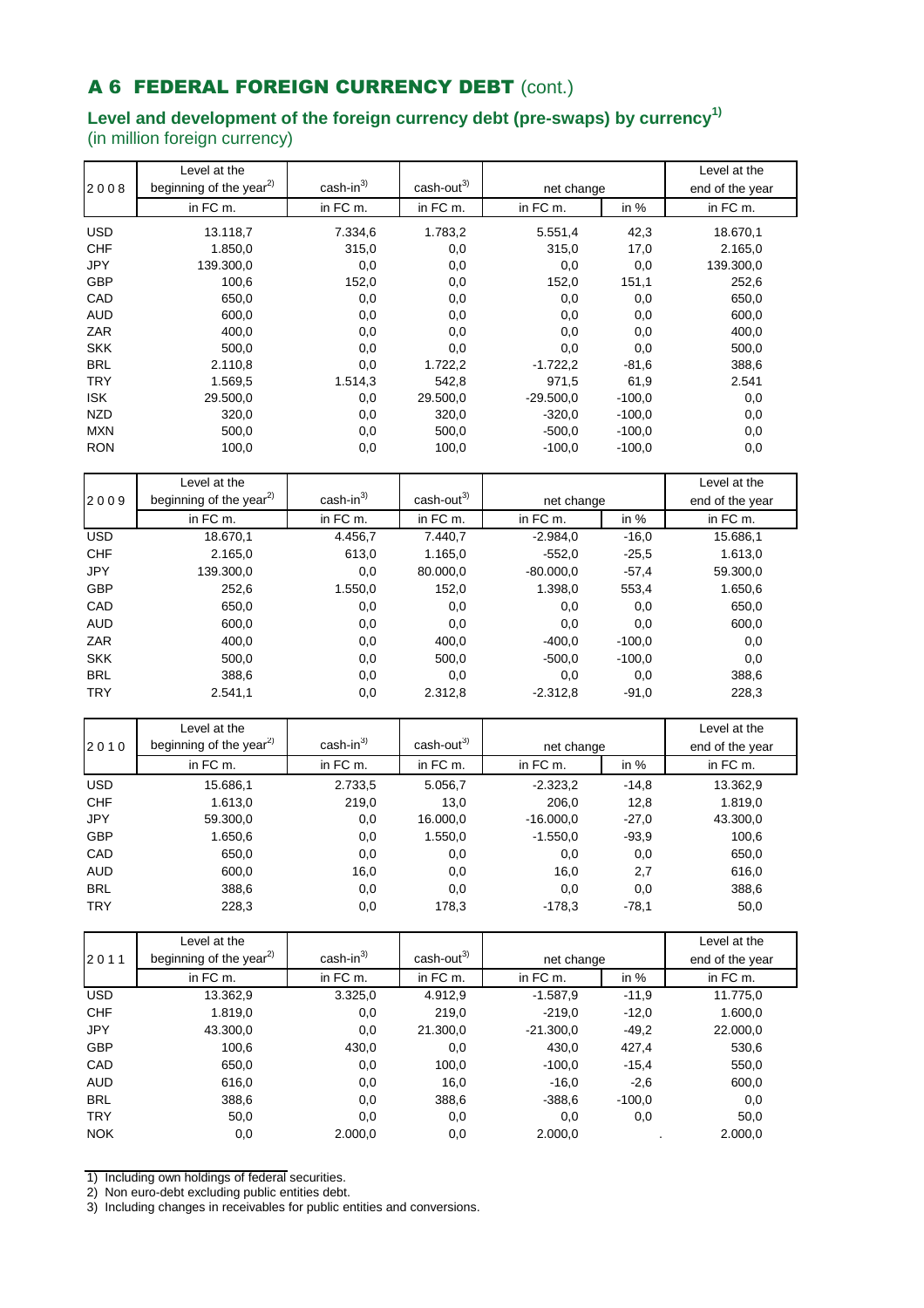# A 6 FEDERAL FOREIGN CURRENCY DEBT (cont.)

### **Level and development of the foreign currency debt (pre-swaps) by currency1)** (in million foreign currency)

|            | Level at the                        |                       |                        |             |          | Level at the    |
|------------|-------------------------------------|-----------------------|------------------------|-------------|----------|-----------------|
| 2008       | beginning of the year <sup>2)</sup> | cash-in <sup>3)</sup> | cash-out <sup>3)</sup> | net change  |          | end of the year |
|            | in FC m.                            | in FC m.              | in FC m.               | in FC m.    | in %     | in FC m.        |
| <b>USD</b> | 13.118,7                            | 7.334,6               | 1.783,2                | 5.551,4     | 42,3     | 18.670,1        |
| <b>CHF</b> | 1.850,0                             | 315,0                 | 0,0                    | 315,0       | 17,0     | 2.165,0         |
| JPY        | 139.300,0                           | 0,0                   | 0,0                    | 0,0         | 0,0      | 139.300,0       |
| GBP        | 100,6                               | 152,0                 | 0,0                    | 152,0       | 151,1    | 252,6           |
| CAD        | 650,0                               | 0,0                   | 0,0                    | 0,0         | 0,0      | 650,0           |
| <b>AUD</b> | 600,0                               | 0,0                   | 0,0                    | 0,0         | 0,0      | 600,0           |
| ZAR        | 400,0                               | 0,0                   | 0,0                    | 0,0         | 0,0      | 400,0           |
| <b>SKK</b> | 500,0                               | 0,0                   | 0,0                    | 0,0         | 0,0      | 500,0           |
| <b>BRL</b> | 2.110,8                             | 0,0                   | 1.722,2                | $-1.722,2$  | $-81,6$  | 388,6           |
| <b>TRY</b> | 1.569,5                             | 1.514,3               | 542,8                  | 971,5       | 61,9     | 2.541           |
| <b>ISK</b> | 29.500,0                            | 0,0                   | 29.500,0               | $-29.500,0$ | $-100,0$ | 0,0             |
| <b>NZD</b> | 320,0                               | 0,0                   | 320,0                  | $-320,0$    | $-100,0$ | 0,0             |
| <b>MXN</b> | 500,0                               | 0,0                   | 500,0                  | $-500,0$    | $-100,0$ | 0,0             |
| <b>RON</b> | 100,0                               | 0,0                   | 100,0                  | $-100,0$    | $-100,0$ | 0,0             |
|            |                                     |                       |                        |             |          |                 |
|            | Level at the                        |                       |                        |             |          | Level at the    |
| 2009       | beginning of the year <sup>2)</sup> | $cash-in3$            | cash-out <sup>3)</sup> | net change  |          | end of the year |
|            | in FC m.                            | in FC m.              | in FC m.               | in FC m.    | in %     | in FC m.        |
| <b>USD</b> | 18.670,1                            | 4.456,7               | 7.440,7                | $-2.984,0$  | $-16,0$  | 15.686,1        |
| <b>CHF</b> | 2.165,0                             | 613,0                 | 1.165,0                | $-552,0$    | $-25,5$  | 1.613,0         |
| JPY        | 139.300,0                           | 0,0                   | 80.000,0               | $-80.000,0$ | $-57,4$  | 59.300,0        |
| GBP        | 252,6                               | 1.550,0               | 152,0                  | 1.398,0     | 553,4    | 1.650,6         |
| CAD        | 650,0                               | 0,0                   | 0,0                    | 0,0         | 0,0      | 650,0           |
| <b>AUD</b> | 600,0                               | 0,0                   | 0,0                    | 0,0         | 0,0      | 600,0           |
| ZAR        | 400,0                               | 0,0                   | 400,0                  | $-400,0$    | $-100,0$ | 0,0             |
| <b>SKK</b> | 500,0                               | 0,0                   | 500,0                  | $-500,0$    | $-100,0$ | 0,0             |
| <b>BRL</b> | 388,6                               | 0,0                   | 0,0                    | 0,0         | 0,0      | 388,6           |
| <b>TRY</b> | 2.541,1                             | 0,0                   | 2.312,8                | $-2.312,8$  | $-91,0$  | 228,3           |
|            | Level at the                        |                       |                        |             |          | Level at the    |
| 2010       | beginning of the year <sup>2)</sup> | $cash-in3$            | cash-out <sup>3)</sup> | net change  |          | end of the year |
|            | in FC m.                            | in FC m.              | in FC m.               | in FC m.    | in %     | in FC m.        |
| <b>USD</b> | 15.686,1                            | 2.733,5               | 5.056,7                | $-2.323,2$  | $-14,8$  | 13.362,9        |
| <b>CHF</b> | 1.613,0                             | 219,0                 | 13,0                   | 206,0       | 12,8     | 1.819,0         |
| JPY        | 59.300,0                            | 0,0                   | 16.000,0               | $-16.000,0$ | $-27,0$  | 43.300,0        |
| GBP        | 1.650,6                             | 0,0                   | 1.550,0                | $-1.550,0$  | $-93,9$  | 100,6           |
| CAD        | 650,0                               | 0,0                   | 0,0                    | 0,0         | 0,0      | 650,0           |
| AUD        | 600,0                               | 16,0                  | $_{\rm 0,0}$           | 16,0        | 2,7      | 616,0           |
| <b>BRL</b> | 388,6                               | 0,0                   | $_{0,0}$               | 0,0         | 0,0      | 388,6           |
| <b>TRY</b> | 228,3                               | 0,0                   | 178,3                  | $-178,3$    | $-78,1$  | 50,0            |
|            |                                     |                       |                        |             |          |                 |
|            | Level at the                        | cash-in <sup>3)</sup> | cash-out <sup>3)</sup> |             |          | Level at the    |
| 2011       | beginning of the year <sup>2)</sup> |                       |                        | net change  |          | end of the year |
|            | in FC m.                            | in FC m.              | in FC m.               | in FC m.    | in %     | in FC m.        |
| <b>USD</b> | 13.362,9                            | 3.325,0               | 4.912,9                | $-1.587,9$  | $-11,9$  | 11.775,0        |
| <b>CHF</b> | 1.819,0                             | 0,0                   | 219,0                  | $-219,0$    | $-12,0$  | 1.600,0         |
| JPY        | 43.300,0                            | 0,0                   | 21.300,0               | $-21.300,0$ | $-49,2$  | 22.000,0        |
| GBP        | 100,6                               | 430,0                 | 0,0                    | 430,0       | 427,4    | 530,6           |
| CAD        | 650,0                               | 0,0                   | 100,0                  | $-100,0$    | $-15,4$  | 550,0           |
| <b>AUD</b> | 616,0                               | 0,0                   | 16,0                   | $-16,0$     | $-2,6$   | 600,0           |
| <b>BRL</b> | 388,6                               | 0,0                   | 388,6                  | $-388,6$    | $-100,0$ | 0,0             |
| <b>TRY</b> | 50,0                                | 0,0                   | 0,0                    | 0,0         | 0,0      | 50,0            |
| <b>NOK</b> | 0,0                                 | 2.000,0               | 0,0                    | 2.000,0     |          | 2.000,0         |
|            |                                     |                       |                        |             |          |                 |

1) Including own holdings of federal securities.

2) Non euro-debt excluding public entities debt.

3) Including changes in receivables for public entities and conversions.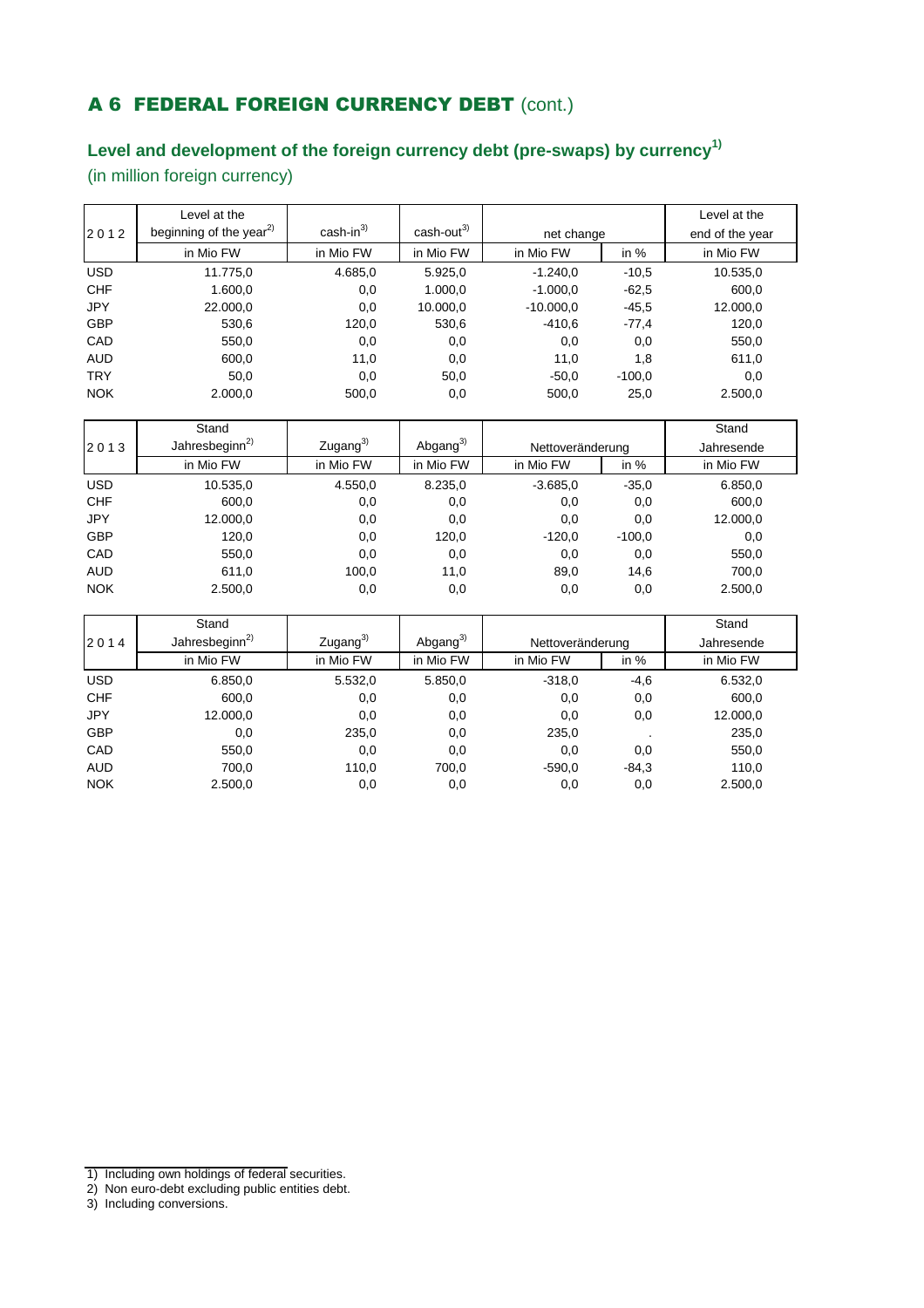# A 6 FEDERAL FOREIGN CURRENCY DEBT (cont.)

## **Level and development of the foreign currency debt (pre-swaps) by currency1)**

(in million foreign currency)

|            | Level at the                        |                       |                        |             |          | Level at the    |
|------------|-------------------------------------|-----------------------|------------------------|-------------|----------|-----------------|
| 2012       | beginning of the year <sup>2)</sup> | $\text{cash-in}^{3)}$ | cash-out <sup>3)</sup> | net change  |          | end of the year |
|            | in Mio FW                           | in Mio FW             | in Mio FW              | in Mio FW   | in $%$   | in Mio FW       |
| <b>USD</b> | 11.775,0                            | 4.685,0               | 5.925,0                | $-1.240.0$  | $-10.5$  | 10.535,0        |
| <b>CHF</b> | 1.600,0                             | 0,0                   | 1.000,0                | $-1.000,0$  | $-62.5$  | 600,0           |
| <b>JPY</b> | 22.000,0                            | 0,0                   | 10.000,0               | $-10.000.0$ | $-45.5$  | 12.000,0        |
| <b>GBP</b> | 530,6                               | 120,0                 | 530,6                  | $-410.6$    | $-77,4$  | 120,0           |
| CAD        | 550,0                               | 0,0                   | 0,0                    | 0,0         | 0,0      | 550,0           |
| <b>AUD</b> | 600,0                               | 11,0                  | 0,0                    | 11,0        | 1,8      | 611,0           |
| <b>TRY</b> | 50,0                                | 0,0                   | 50,0                   | $-50,0$     | $-100.0$ | 0,0             |
| <b>NOK</b> | 2.000,0                             | 500,0                 | 0,0                    | 500,0       | 25,0     | 2.500,0         |

|            | Stand                      |                      |                      |                  |          | Stand      |
|------------|----------------------------|----------------------|----------------------|------------------|----------|------------|
| 2013       | Jahresbeginn <sup>2)</sup> | Zugang <sup>3)</sup> | Abgang <sup>3)</sup> | Nettoveränderung |          | Jahresende |
|            | in Mio FW                  | in Mio FW            | in Mio FW            | in Mio FW        | in $%$   | in Mio FW  |
| <b>USD</b> | 10.535,0                   | 4.550,0              | 8.235,0              | $-3.685.0$       | $-35.0$  | 6.850,0    |
| <b>CHF</b> | 600,0                      | 0,0                  | 0,0                  | 0,0              | 0,0      | 600,0      |
| <b>JPY</b> | 12.000,0                   | 0,0                  | 0,0                  | 0,0              | 0,0      | 12.000,0   |
| <b>GBP</b> | 120,0                      | 0,0                  | 120,0                | $-120,0$         | $-100,0$ | 0,0        |
| CAD        | 550,0                      | 0,0                  | 0,0                  | 0,0              | 0,0      | 550,0      |
| <b>AUD</b> | 611,0                      | 100,0                | 11,0                 | 89,0             | 14,6     | 700,0      |
| <b>NOK</b> | 2.500,0                    | 0,0                  | 0,0                  | 0,0              | 0,0      | 2.500,0    |

|            | Stand                      |                      |                |                  |         | Stand      |
|------------|----------------------------|----------------------|----------------|------------------|---------|------------|
| 2014       | Jahresbeginn <sup>2)</sup> | Zugang <sup>3)</sup> | Abgang $^{3)}$ | Nettoveränderung |         | Jahresende |
|            | in Mio FW                  | in Mio FW            | in Mio FW      | in Mio FW        | in $%$  | in Mio FW  |
| <b>USD</b> | 6.850,0                    | 5.532,0              | 5.850,0        | $-318,0$         | $-4,6$  | 6.532,0    |
| <b>CHF</b> | 600,0                      | 0,0                  | 0,0            | 0,0              | 0,0     | 600,0      |
| <b>JPY</b> | 12.000,0                   | 0,0                  | 0,0            | 0,0              | 0,0     | 12.000,0   |
| <b>GBP</b> | 0,0                        | 235,0                | 0,0            | 235,0            |         | 235,0      |
| CAD        | 550,0                      | 0,0                  | 0,0            | 0,0              | 0,0     | 550,0      |
| <b>AUD</b> | 700,0                      | 110,0                | 700.0          | $-590.0$         | $-84.3$ | 110,0      |
| <b>NOK</b> | 2.500,0                    | 0,0                  | 0,0            | 0,0              | 0,0     | 2.500,0    |

<sup>1)</sup> Including own holdings of federal securities.

<sup>2)</sup> Non euro-debt excluding public entities debt.

<sup>3)</sup> Including conversions.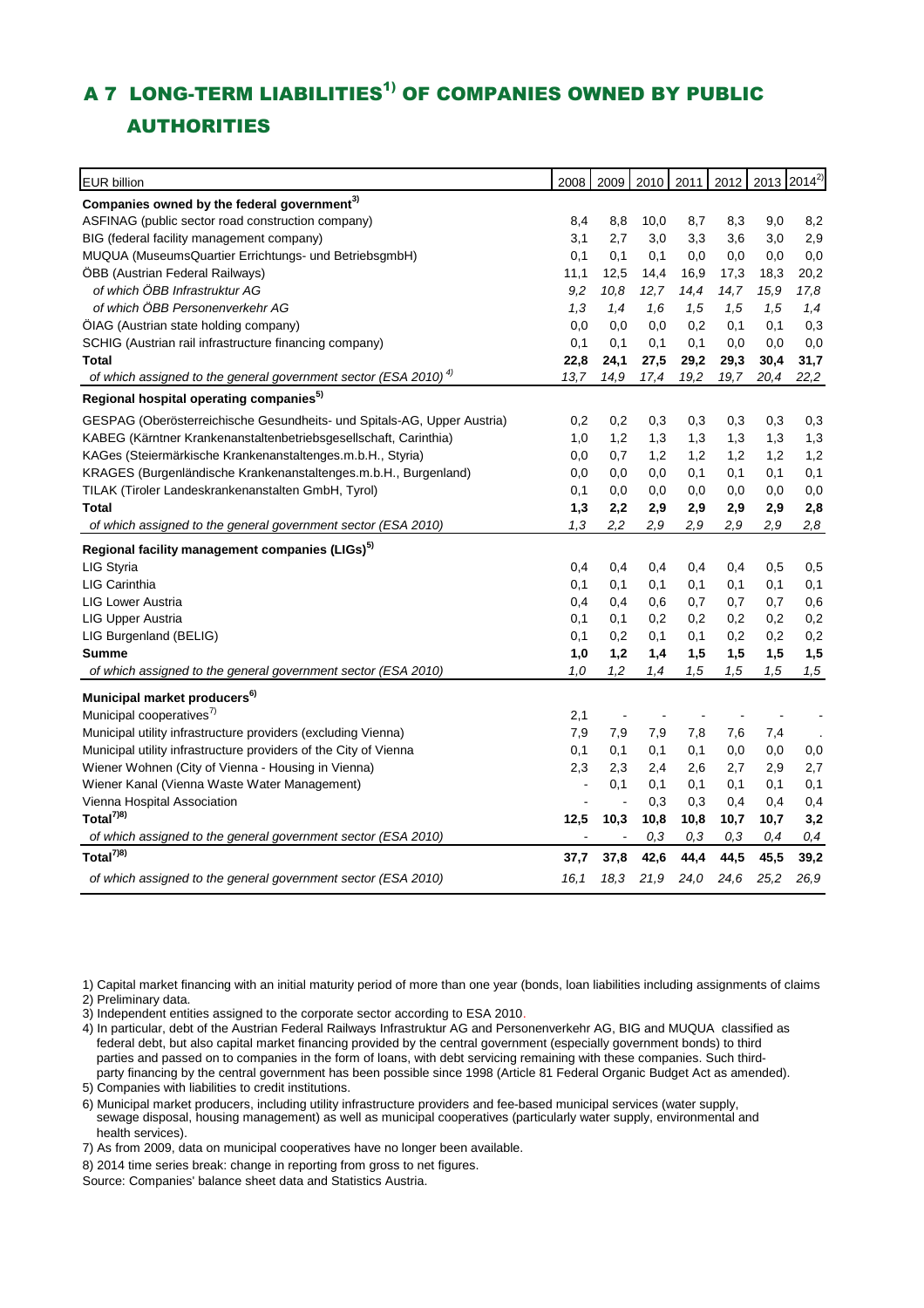## A 7 LONG-TERM LIABILITIES<sup>1)</sup> OF COMPANIES OWNED BY PUBLIC AUTHORITIES

| <b>EUR billion</b>                                                               | 2008 | 2009           | 2010 | 2011 |      | 2012 2013 2014 <sup>2)</sup> |          |
|----------------------------------------------------------------------------------|------|----------------|------|------|------|------------------------------|----------|
|                                                                                  |      |                |      |      |      |                              |          |
| Companies owned by the federal government <sup>3)</sup>                          |      |                |      |      |      |                              |          |
| ASFINAG (public sector road construction company)                                | 8,4  | 8,8            | 10,0 | 8,7  | 8,3  | 9,0                          | 8,2      |
| BIG (federal facility management company)                                        | 3,1  | 2,7            | 3,0  | 3,3  | 3,6  | 3,0                          | 2,9      |
| MUQUA (MuseumsQuartier Errichtungs- und BetriebsgmbH)                            | 0,1  | 0,1            | 0,1  | 0,0  | 0,0  | 0,0                          | 0,0      |
| ÖBB (Austrian Federal Railways)                                                  | 11,1 | 12,5           | 14,4 | 16,9 | 17,3 | 18,3                         | 20,2     |
| of which ÖBB Infrastruktur AG                                                    | 9,2  | 10,8           | 12,7 | 14,4 | 14,7 | 15,9                         | 17,8     |
| of which ÖBB Personenverkehr AG                                                  | 1,3  | 1,4            | 1.6  | 1,5  | 1,5  | 1,5                          | 1,4      |
| ÖIAG (Austrian state holding company)                                            | 0,0  | 0,0            | 0,0  | 0,2  | 0,1  | 0,1                          | 0,3      |
| SCHIG (Austrian rail infrastructure financing company)                           | 0,1  | 0,1            | 0,1  | 0,1  | 0,0  | 0,0                          | 0,0      |
| Total                                                                            | 22,8 | 24,1           | 27,5 | 29,2 | 29,3 | 30,4                         | 31,7     |
| of which assigned to the general government sector (ESA 2010) $^{4}$             | 13.7 | 14,9           | 17,4 | 19,2 | 19,7 | 20,4                         | 22,2     |
| Regional hospital operating companies <sup>5)</sup>                              |      |                |      |      |      |                              |          |
| GESPAG (Oberösterreichische Gesundheits- und Spitals-AG, Upper Austria)          | 0,2  | 0,2            | 0,3  | 0,3  | 0,3  | 0,3                          | 0,3      |
| KABEG (Kärntner Krankenanstaltenbetriebsgesellschaft, Carinthia)                 | 1,0  | 1,2            | 1,3  | 1,3  | 1,3  | 1,3                          | 1,3      |
| KAGes (Steiermärkische Krankenanstaltenges.m.b.H., Styria)                       | 0,0  | 0,7            | 1,2  | 1,2  | 1,2  | 1,2                          | 1,2      |
| KRAGES (Burgenländische Krankenanstaltenges.m.b.H., Burgenland)                  | 0,0  | 0,0            | 0,0  | 0,1  | 0,1  | 0,1                          | 0,1      |
| TILAK (Tiroler Landeskrankenanstalten GmbH, Tyrol)                               | 0,1  | 0,0            | 0,0  | 0,0  | 0,0  | 0,0                          | 0,0      |
| Total                                                                            | 1,3  | 2,2            | 2,9  | 2,9  | 2,9  | 2,9                          | 2,8      |
| of which assigned to the general government sector (ESA 2010)                    | 1,3  | 2,2            | 2,9  | 2,9  | 2,9  | 2,9                          | 2,8      |
| Regional facility management companies (LIGs) <sup>5)</sup>                      |      |                |      |      |      |                              |          |
| LIG Styria                                                                       | 0,4  | 0,4            | 0,4  | 0,4  | 0,4  | 0,5                          | 0,5      |
| LIG Carinthia                                                                    | 0,1  | 0,1            | 0,1  | 0,1  | 0,1  | 0,1                          | 0,1      |
| <b>LIG Lower Austria</b>                                                         | 0,4  | 0,4            | 0,6  | 0,7  | 0,7  | 0,7                          | 0,6      |
| LIG Upper Austria                                                                | 0,1  | 0,1            | 0,2  | 0,2  | 0,2  | 0,2                          | 0,2      |
| LIG Burgenland (BELIG)                                                           | 0,1  | 0,2            | 0,1  | 0,1  | 0,2  | 0,2                          | 0,2      |
| <b>Summe</b>                                                                     | 1,0  | 1,2            | 1,4  | 1,5  | 1,5  | 1,5                          | 1,5      |
| of which assigned to the general government sector (ESA 2010)                    | 1.0  | 1,2            | 1,4  | 1,5  | 1,5  | 1,5                          | 1,5      |
|                                                                                  |      |                |      |      |      |                              |          |
| Municipal market producers <sup>6)</sup><br>Municipal cooperatives <sup>7)</sup> |      |                |      |      |      |                              |          |
|                                                                                  | 2,1  |                |      |      |      |                              |          |
| Municipal utility infrastructure providers (excluding Vienna)                    | 7,9  | 7,9            | 7,9  | 7,8  | 7,6  | 7,4                          |          |
| Municipal utility infrastructure providers of the City of Vienna                 | 0,1  | 0,1            | 0,1  | 0,1  | 0,0  | 0,0                          | $_{0,0}$ |
| Wiener Wohnen (City of Vienna - Housing in Vienna)                               | 2,3  | 2,3            | 2,4  | 2,6  | 2,7  | 2,9                          | 2,7      |
| Wiener Kanal (Vienna Waste Water Management)                                     | ä,   | 0,1            | 0,1  | 0,1  | 0,1  | 0,1                          | 0,1      |
| Vienna Hospital Association                                                      |      | $\overline{a}$ | 0,3  | 0,3  | 0,4  | 0,4                          | 0,4      |
| Total <sup>7)8)</sup>                                                            | 12,5 | 10,3           | 10,8 | 10,8 | 10,7 | 10,7                         | 3,2      |
| of which assigned to the general government sector (ESA 2010)                    |      |                | 0,3  | 0,3  | 0,3  | 0,4                          | 0,4      |
| Total $^{7)8)}$                                                                  | 37,7 | 37,8           | 42,6 | 44,4 | 44,5 | 45,5                         | 39,2     |
| of which assigned to the general government sector (ESA 2010)                    | 16,1 | 18,3           | 21,9 | 24,0 | 24,6 | 25,2                         | 26,9     |

1) Capital market financing with an initial maturity period of more than one year (bonds, loan liabilities including assignments of claims 2) Preliminary data.

3) Independent entities assigned to the corporate sector according to ESA 2010.

5) Companies with liabilities to credit institutions. 4) In particular, debt of the Austrian Federal Railways Infrastruktur AG and Personenverkehr AG, BIG and MUQUA classified as federal debt, but also capital market financing provided by the central government (especially government bonds) to third parties and passed on to companies in the form of loans, with debt servicing remaining with these companies. Such thirdparty financing by the central government has been possible since 1998 (Article 81 Federal Organic Budget Act as amended).

 sewage disposal, housing management) as well as municipal cooperatives (particularly water supply, environmental and health services). 6) Municipal market producers, including utility infrastructure providers and fee-based municipal services (water supply,

7) As from 2009, data on municipal cooperatives have no longer been available.

8) 2014 time series break: change in reporting from gross to net figures.

Source: Companies' balance sheet data and Statistics Austria.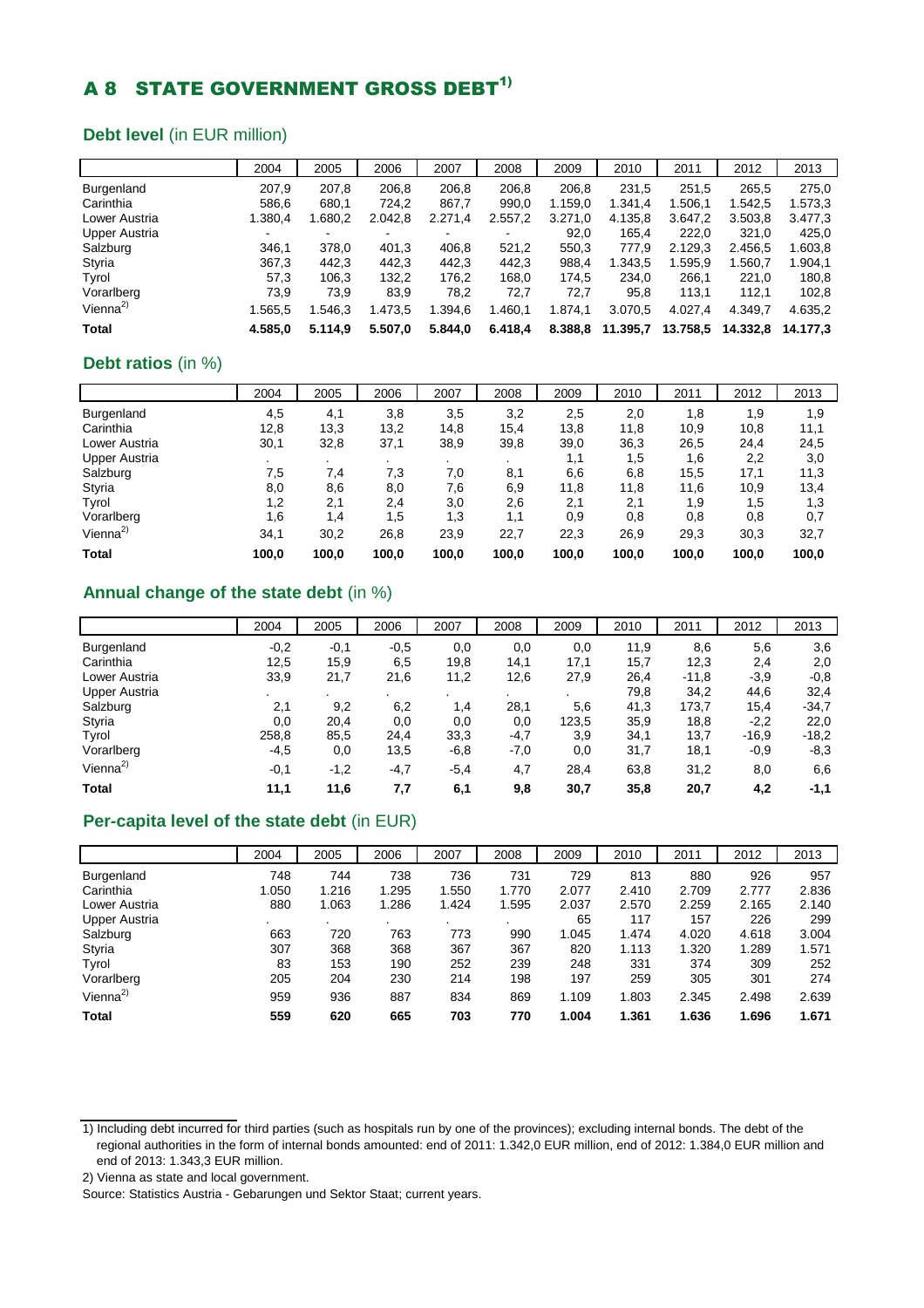## **A 8 STATE GOVERNMENT GROSS DEBT<sup>1)</sup>**

### **Debt level** (in EUR million)

|                      | 2004    | 2005    | 2006    | 2007    | 2008    | 2009    | 2010     | 2011     | 2012     | 2013     |
|----------------------|---------|---------|---------|---------|---------|---------|----------|----------|----------|----------|
| <b>Burgenland</b>    | 207,9   | 207,8   | 206,8   | 206,8   | 206,8   | 206.8   | 231,5    | 251,5    | 265,5    | 275,0    |
| Carinthia            | 586,6   | 680.1   | 724.2   | 867,7   | 990.0   | 1.159.0 | 1.341.4  | 1.506.1  | 1.542.5  | 1.573,3  |
| Lower Austria        | 1.380,4 | 1.680.2 | 2.042,8 | 2.271,4 | 2.557,2 | 3.271,0 | 4.135.8  | 3.647.2  | 3.503.8  | 3.477,3  |
| Upper Austria        | ۰       | ۰       | ۰       |         |         | 92.0    | 165.4    | 222.0    | 321,0    | 425,0    |
| Salzburg             | 346.1   | 378,0   | 401,3   | 406,8   | 521.2   | 550,3   | 777,9    | 2.129,3  | 2.456.5  | 1.603,8  |
| Styria               | 367,3   | 442.3   | 442,3   | 442.3   | 442.3   | 988,4   | 1.343.5  | 1.595.9  | 1.560.7  | 1.904,1  |
| Tyrol                | 57,3    | 106.3   | 132,2   | 176,2   | 168.0   | 174.5   | 234.0    | 266.1    | 221.0    | 180,8    |
| Vorarlberg           | 73,9    | 73,9    | 83,9    | 78,2    | 72,7    | 72,7    | 95,8     | 113,1    | 112,1    | 102,8    |
| Vienna <sup>2)</sup> | 1.565.5 | .546.3  | 1.473,5 | 1.394,6 | 1.460,1 | 1.874,1 | 3.070,5  | 4.027.4  | 4.349.7  | 4.635,2  |
| <b>Total</b>         | 4.585.0 | 5.114.9 | 5.507.0 | 5.844.0 | 6.418,4 | 8.388,8 | 11.395,7 | 13.758,5 | 14.332.8 | 14.177.3 |

### **Debt ratios** (in %)

|                      | 2004  | 2005  | 2006    | 2007           | 2008           | 2009  | 2010  | 2011  | 2012  | 2013  |
|----------------------|-------|-------|---------|----------------|----------------|-------|-------|-------|-------|-------|
| Burgenland           | 4,5   | 4,1   | 3,8     | 3,5            | 3,2            | 2,5   | 2,0   | 1,8   | 1,9   | 1,9   |
| Carinthia            | 12,8  | 13,3  | 13,2    | 14,8           | 15,4           | 13,8  | 11,8  | 10,9  | 10,8  | 11,1  |
| Lower Austria        | 30,1  | 32,8  | 37,1    | 38,9           | 39,8           | 39,0  | 36,3  | 26,5  | 24,4  | 24,5  |
| <b>Upper Austria</b> |       | ٠.    | $\cdot$ | $\blacksquare$ | $\blacksquare$ | 1,1   | 1,5   | 1,6   | 2,2   | 3,0   |
| Salzburg             | 7,5   | 7,4   | 7,3     | 7.0            | 8,1            | 6,6   | 6,8   | 15,5  | 17,1  | 11,3  |
| Styria               | 8,0   | 8,6   | 8,0     | 7.6            | 6,9            | 11,8  | 11,8  | 11,6  | 10,9  | 13,4  |
| Tyrol                | 1,2   | 2,1   | 2,4     | 3,0            | 2,6            | 2,1   | 2,1   | 1,9   | 1,5   | 1,3   |
| Vorarlberg           | 1.6   | 1,4   | 1,5     | 1.3            | 1,1            | 0,9   | 0,8   | 0,8   | 0,8   | 0,7   |
| Vienna <sup>2)</sup> | 34,1  | 30,2  | 26,8    | 23,9           | 22,7           | 22,3  | 26,9  | 29,3  | 30,3  | 32,7  |
| <b>Total</b>         | 100,0 | 100,0 | 100.0   | 100,0          | 100,0          | 100,0 | 100,0 | 100,0 | 100.0 | 100,0 |

### **Annual change of the state debt** (in %)

|                      | 2004   | 2005   | 2006   | 2007   | 2008    | 2009  | 2010 | 2011    | 2012    | 2013    |
|----------------------|--------|--------|--------|--------|---------|-------|------|---------|---------|---------|
| Burgenland           | $-0,2$ | $-0,1$ | $-0,5$ | 0,0    | 0,0     | 0,0   | 11,9 | 8,6     | 5,6     | 3,6     |
| Carinthia            | 12,5   | 15,9   | 6,5    | 19,8   | 14,1    | 17,1  | 15,7 | 12,3    | 2,4     | 2,0     |
| Lower Austria        | 33,9   | 21,7   | 21,6   | 11,2   | 12,6    | 27,9  | 26,4 | $-11,8$ | $-3,9$  | $-0,8$  |
| <b>Upper Austria</b> |        | ٠.     |        |        | $\cdot$ |       | 79,8 | 34,2    | 44,6    | 32,4    |
| Salzburg             | 2,1    | 9,2    | 6,2    | 1,4    | 28,1    | 5,6   | 41,3 | 173,7   | 15,4    | $-34.7$ |
| Styria               | 0,0    | 20,4   | 0,0    | 0,0    | 0,0     | 123,5 | 35,9 | 18,8    | $-2,2$  | 22,0    |
| Tyrol                | 258,8  | 85,5   | 24,4   | 33,3   | $-4,7$  | 3,9   | 34,1 | 13,7    | $-16,9$ | $-18.2$ |
| Vorarlberg           | $-4,5$ | 0,0    | 13,5   | $-6,8$ | $-7,0$  | 0,0   | 31,7 | 18,1    | $-0.9$  | $-8,3$  |
| Vienna <sup>2)</sup> | $-0,1$ | $-1,2$ | $-4,7$ | $-5,4$ | 4,7     | 28,4  | 63,8 | 31,2    | 8,0     | 6,6     |
| <b>Total</b>         | 11,1   | 11,6   | 7,7    | 6,1    | 9,8     | 30,7  | 35,8 | 20,7    | 4,2     | $-1,1$  |

### **Per-capita level of the state debt** (in EUR)

|                      | 2004  | 2005  | 2006  | 2007  | 2008  | 2009  | 2010  | 2011  | 2012  | 2013  |
|----------------------|-------|-------|-------|-------|-------|-------|-------|-------|-------|-------|
| Burgenland           | 748   | 744   | 738   | 736   | 731   | 729   | 813   | 880   | 926   | 957   |
| Carinthia            | 1.050 | 1.216 | 1.295 | 1.550 | 1.770 | 2.077 | 2.410 | 2.709 | 2.777 | 2.836 |
| Lower Austria        | 880   | 1.063 | 1.286 | 1.424 | 1.595 | 2.037 | 2.570 | 2.259 | 2.165 | 2.140 |
| Upper Austria        |       | ٠.    |       |       |       | 65    | 117   | 157   | 226   | 299   |
| Salzburg             | 663   | 720   | 763   | 773   | 990   | 1.045 | 1.474 | 4.020 | 4.618 | 3.004 |
| Styria               | 307   | 368   | 368   | 367   | 367   | 820   | 1.113 | 1.320 | 1.289 | 1.571 |
| Tyrol                | 83    | 153   | 190   | 252   | 239   | 248   | 331   | 374   | 309   | 252   |
| Vorarlberg           | 205   | 204   | 230   | 214   | 198   | 197   | 259   | 305   | 301   | 274   |
| Vienna <sup>2)</sup> | 959   | 936   | 887   | 834   | 869   | 1.109 | 1.803 | 2.345 | 2.498 | 2.639 |
| Total                | 559   | 620   | 665   | 703   | 770   | 1.004 | 1.361 | 1.636 | 1.696 | 1.671 |

<sup>1)</sup> Including debt incurred for third parties (such as hospitals run by one of the provinces); excluding internal bonds. The debt of the regional authorities in the form of internal bonds amounted: end of 2011: 1.342,0 EUR million, end of 2012: 1.384,0 EUR million and end of 2013: 1.343,3 EUR million.

<sup>2)</sup> Vienna as state and local government.

Source: Statistics Austria - Gebarungen und Sektor Staat; current years.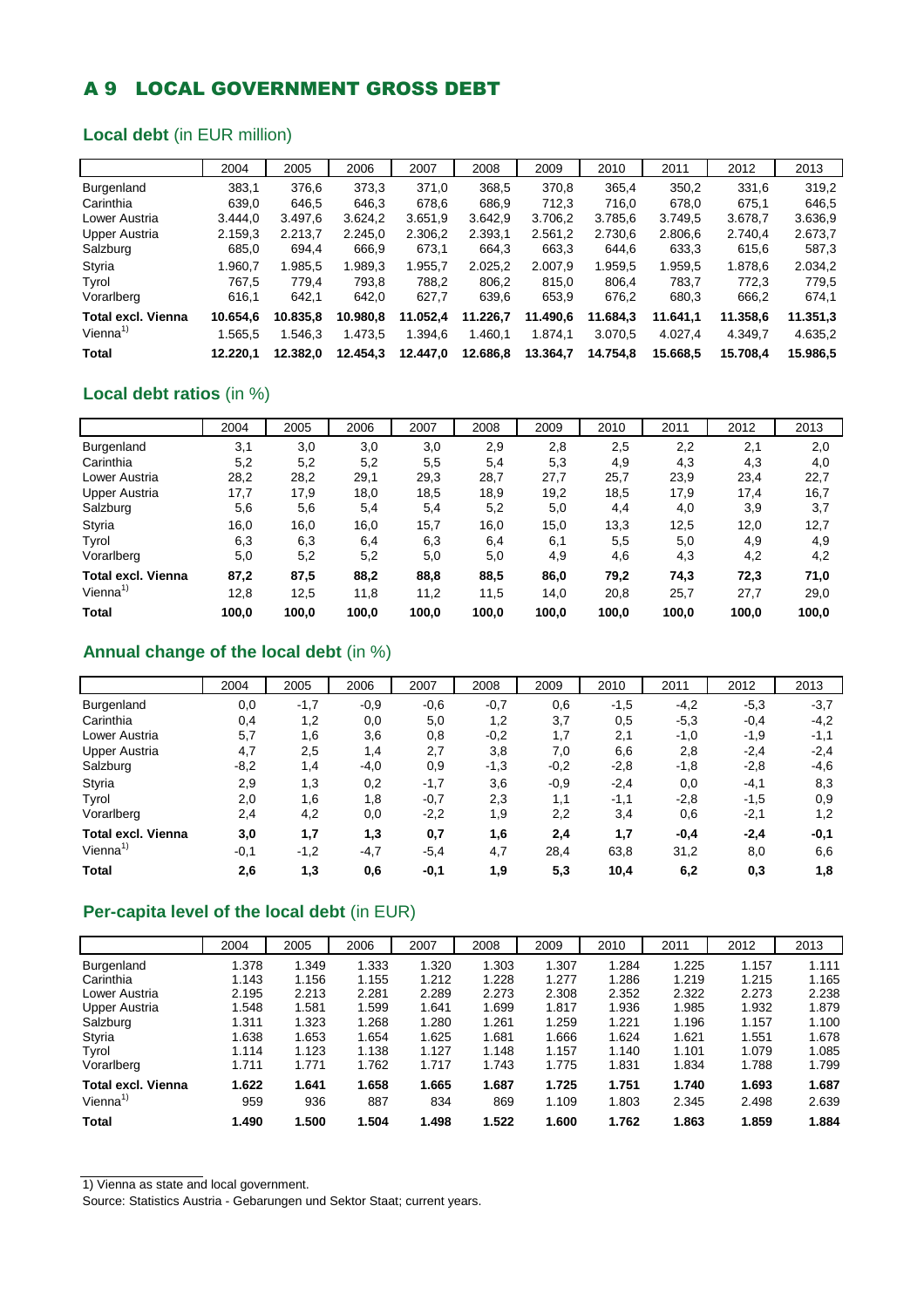## A 9 LOCAL GOVERNMENT GROSS DEBT

### **Local debt** (in EUR million)

|                           | 2004     | 2005     | 2006     | 2007     | 2008     | 2009     | 2010     | 2011     | 2012     | 2013     |
|---------------------------|----------|----------|----------|----------|----------|----------|----------|----------|----------|----------|
| <b>Burgenland</b>         | 383.1    | 376,6    | 373,3    | 371.0    | 368,5    | 370,8    | 365,4    | 350,2    | 331,6    | 319,2    |
| Carinthia                 | 639,0    | 646.5    | 646.3    | 678.6    | 686.9    | 712.3    | 716,0    | 678,0    | 675.1    | 646.5    |
| Lower Austria             | 3.444.0  | 3.497.6  | 3.624.2  | 3.651.9  | 3.642.9  | 3.706,2  | 3.785,6  | 3.749.5  | 3.678.7  | 3.636,9  |
| <b>Upper Austria</b>      | 2.159,3  | 2.213.7  | 2.245.0  | 2.306,2  | 2.393.1  | 2.561.2  | 2.730.6  | 2.806.6  | 2.740.4  | 2.673.7  |
| Salzburg                  | 685,0    | 694.4    | 666,9    | 673,1    | 664.3    | 663,3    | 644,6    | 633,3    | 615,6    | 587,3    |
| Styria                    | 1.960.7  | 1.985.5  | .989.3   | 1.955,7  | 2.025.2  | 2.007.9  | 1.959.5  | 1.959.5  | 1.878.6  | 2.034,2  |
| Tyrol                     | 767.5    | 779.4    | 793,8    | 788,2    | 806.2    | 815,0    | 806.4    | 783.7    | 772.3    | 779.5    |
| Vorarlberg                | 616.1    | 642.1    | 642,0    | 627,7    | 639,6    | 653,9    | 676,2    | 680,3    | 666,2    | 674,1    |
| <b>Total excl. Vienna</b> | 10.654.6 | 10.835.8 | 10.980.8 | 11.052.4 | 11.226.7 | 11.490.6 | 11.684.3 | 11.641,1 | 11.358.6 | 11.351,3 |
| Vienna <sup>1)</sup>      | 1.565.5  | 1.546.3  | 1.473,5  | 1.394,6  | 1.460.1  | 1.874.1  | 3.070.5  | 4.027.4  | 4.349.7  | 4.635.2  |
| Total                     | 12.220.1 | 12.382.0 | 12.454.3 | 12.447.0 | 12.686.8 | 13.364.7 | 14.754.8 | 15.668.5 | 15.708.4 | 15,986.5 |

### **Local debt ratios** (in %)

|                           | 2004  | 2005  | 2006  | 2007  | 2008  | 2009  | 2010  | 2011  | 2012  | 2013  |
|---------------------------|-------|-------|-------|-------|-------|-------|-------|-------|-------|-------|
| Burgenland                | 3,1   | 3,0   | 3,0   | 3,0   | 2,9   | 2,8   | 2,5   | 2,2   | 2,1   | 2,0   |
| Carinthia                 | 5,2   | 5,2   | 5,2   | 5,5   | 5,4   | 5,3   | 4,9   | 4,3   | 4,3   | 4,0   |
| Lower Austria             | 28,2  | 28,2  | 29,1  | 29,3  | 28,7  | 27,7  | 25,7  | 23,9  | 23,4  | 22,7  |
| Upper Austria             | 17,7  | 17,9  | 18,0  | 18,5  | 18,9  | 19,2  | 18,5  | 17,9  | 17,4  | 16,7  |
| Salzburg                  | 5,6   | 5,6   | 5,4   | 5,4   | 5,2   | 5,0   | 4,4   | 4,0   | 3,9   | 3,7   |
| Styria                    | 16,0  | 16,0  | 16,0  | 15,7  | 16,0  | 15,0  | 13,3  | 12,5  | 12,0  | 12,7  |
| Tyrol                     | 6,3   | 6,3   | 6,4   | 6,3   | 6,4   | 6,1   | 5,5   | 5,0   | 4,9   | 4,9   |
| Vorarlberg                | 5,0   | 5,2   | 5,2   | 5,0   | 5,0   | 4,9   | 4,6   | 4,3   | 4,2   | 4,2   |
| <b>Total excl. Vienna</b> | 87,2  | 87,5  | 88,2  | 88,8  | 88,5  | 86,0  | 79,2  | 74,3  | 72,3  | 71,0  |
| Vienna <sup>1)</sup>      | 12,8  | 12,5  | 11,8  | 11,2  | 11,5  | 14,0  | 20,8  | 25,7  | 27,7  | 29,0  |
| <b>Total</b>              | 100.0 | 100.0 | 100,0 | 100,0 | 100.0 | 100,0 | 100.0 | 100.0 | 100,0 | 100.0 |

### **Annual change of the local debt** (in %)

|                           | 2004   | 2005   | 2006   | 2007   | 2008   | 2009   | 2010   | 2011   | 2012   | 2013   |
|---------------------------|--------|--------|--------|--------|--------|--------|--------|--------|--------|--------|
| Burgenland                | 0,0    | $-1,7$ | $-0.9$ | $-0,6$ | $-0,7$ | 0,6    | $-1,5$ | $-4,2$ | $-5,3$ | $-3,7$ |
| Carinthia                 | 0,4    | 1,2    | 0,0    | 5,0    | 1,2    | 3,7    | 0,5    | $-5,3$ | $-0,4$ | $-4,2$ |
| Lower Austria             | 5,7    | 1,6    | 3,6    | 0,8    | $-0,2$ | 1,7    | 2,1    | $-1,0$ | $-1,9$ | $-1,1$ |
| <b>Upper Austria</b>      | 4,7    | 2,5    | 1,4    | 2,7    | 3,8    | 7,0    | 6,6    | 2,8    | $-2,4$ | $-2,4$ |
| Salzburg                  | $-8,2$ | 1,4    | $-4,0$ | 0,9    | $-1,3$ | $-0,2$ | $-2,8$ | $-1,8$ | $-2,8$ | -4,6   |
| Styria                    | 2,9    | 1,3    | 0,2    | $-1,7$ | 3,6    | $-0.9$ | $-2,4$ | 0,0    | $-4,1$ | 8,3    |
| Tyrol                     | 2,0    | 1,6    | 1,8    | $-0,7$ | 2,3    | 1,1    | $-1,1$ | $-2,8$ | $-1,5$ | 0,9    |
| Vorarlberg                | 2,4    | 4,2    | 0,0    | $-2,2$ | 1,9    | 2,2    | 3,4    | 0,6    | $-2,1$ | 1,2    |
| <b>Total excl. Vienna</b> | 3,0    | 1,7    | 1,3    | 0,7    | 1,6    | 2,4    | 1,7    | $-0,4$ | $-2,4$ | $-0,1$ |
| Vienna <sup>1</sup>       | $-0,1$ | $-1,2$ | $-4,7$ | $-5,4$ | 4,7    | 28,4   | 63,8   | 31,2   | 8,0    | 6,6    |
| <b>Total</b>              | 2,6    | 1,3    | 0,6    | $-0,1$ | 1,9    | 5,3    | 10,4   | 6,2    | 0,3    | 1,8    |

### **Per-capita level of the local debt** (in EUR)

|                    | 2004  | 2005  | 2006  | 2007  | 2008  | 2009  | 2010  | 2011  | 2012  | 2013  |
|--------------------|-------|-------|-------|-------|-------|-------|-------|-------|-------|-------|
| Burgenland         | 1.378 | 1.349 | 1.333 | 1.320 | 1.303 | 1.307 | 1.284 | 1.225 | 1.157 | 1.111 |
| Carinthia          | 1.143 | 1.156 | 1.155 | 1.212 | 1.228 | 1.277 | 1.286 | 1.219 | 1.215 | 1.165 |
| Lower Austria      | 2.195 | 2.213 | 2.281 | 2.289 | 2.273 | 2.308 | 2.352 | 2.322 | 2.273 | 2.238 |
| Upper Austria      | 1.548 | 1.581 | 1.599 | 1.641 | 1.699 | 1.817 | 1.936 | 1.985 | 1.932 | 1.879 |
| Salzburg           | 1.311 | 1.323 | 1.268 | 1.280 | 1.261 | 1.259 | 1.221 | 1.196 | 1.157 | 1.100 |
| Styria             | 1.638 | 1.653 | 1.654 | 1.625 | 1.681 | 1.666 | 1.624 | 1.621 | 1.551 | 1.678 |
| Tyrol              | 1.114 | 1.123 | 1.138 | 1.127 | 1.148 | 1.157 | 1.140 | 1.101 | 1.079 | 1.085 |
| Vorarlberg         | 1.711 | 1.771 | 1.762 | 1.717 | 1.743 | 1.775 | 1.831 | 1.834 | 1.788 | 1.799 |
| Total excl. Vienna | 1.622 | 1.641 | 1.658 | 1.665 | 1.687 | 1.725 | 1.751 | 1.740 | 1.693 | 1.687 |
| Vienna $1$         | 959   | 936   | 887   | 834   | 869   | 1.109 | 1.803 | 2.345 | 2.498 | 2.639 |
| <b>Total</b>       | 1.490 | 1.500 | 1.504 | 1.498 | 1.522 | 1.600 | 1.762 | 1.863 | 1.859 | 1.884 |

1) Vienna as state and local government.

Source: Statistics Austria - Gebarungen und Sektor Staat; current years.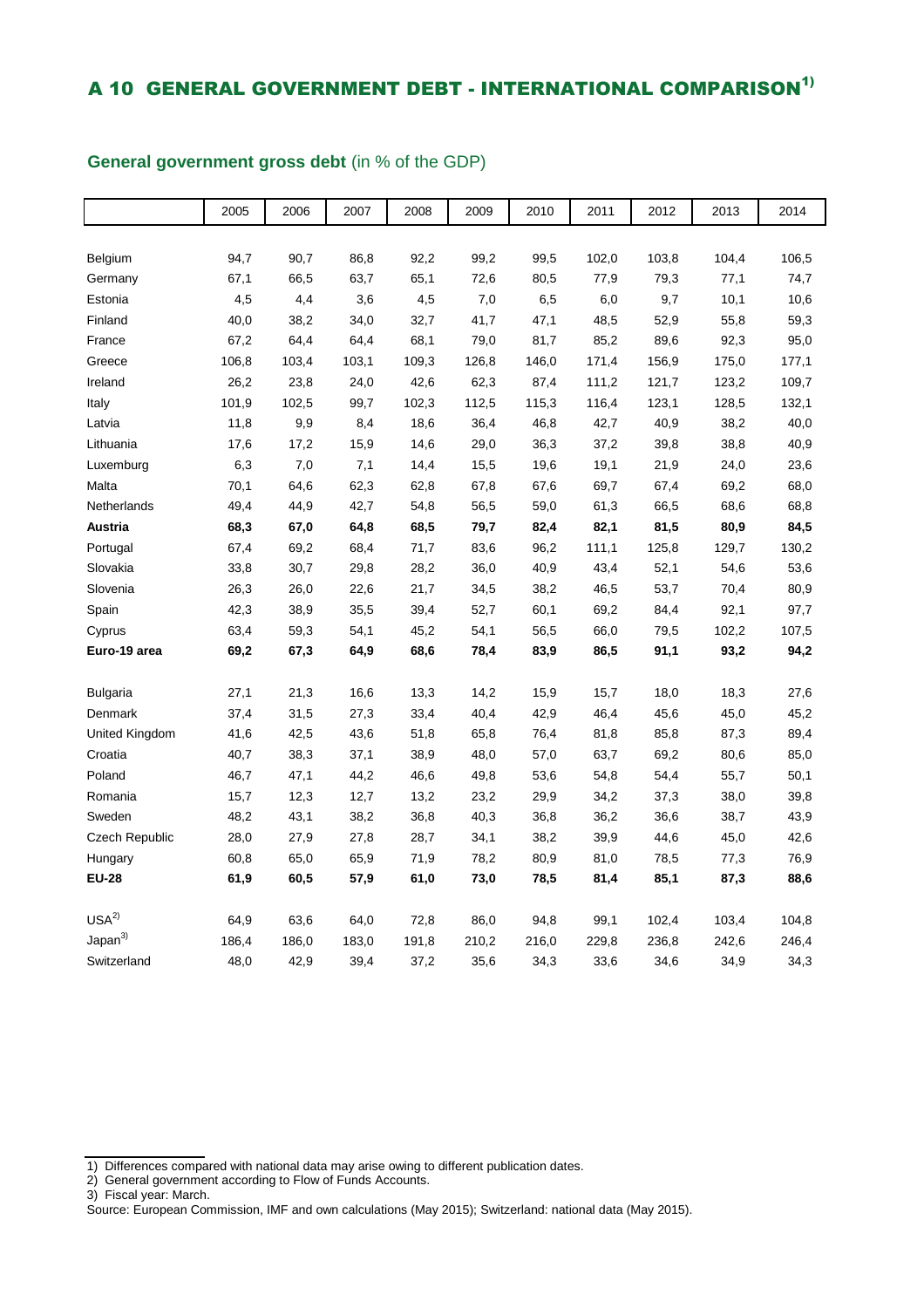## A 10 GENERAL GOVERNMENT DEBT - INTERNATIONAL COMPARISON<sup>1)</sup>

### 2005 2006 2007 2008 2009 2010 2011 2012 2013 2014 Belgium 94,7 90,7 86,8 92,2 99,2 99,5 102,0 103,8 104,4 106,5 Germany 67,1 66,5 63,7 65,1 72,6 80,5 77,9 79,3 77,1 74,7 Estonia 4,5 4,4 3,6 4,5 7,0 6,5 6,0 9,7 10,1 10,6 Finland 40,0 38,2 34,0 32,7 41,7 47,1 48,5 52,9 55,8 59,3 France 67,2 64,4 64,4 68,1 79,0 81,7 85,2 89,6 92,3 95,0 Greece 106,8 103,4 103,1 109,3 126,8 146,0 171,4 156,9 175,0 177,1 Ireland 26,2 23,8 24,0 42,6 62,3 87,4 111,2 121,7 123,2 109,7 Italy 101,9 102,5 99,7 102,3 112,5 115,3 116,4 123,1 128,5 132,1 Latvia 11,8 9,9 8,4 18,6 36,4 46,8 42,7 40,9 38,2 40,0 Lithuania 17,6 17,2 15,9 14,6 29,0 36,3 37,2 39,8 38,8 40,9 Luxemburg 6,3 7,0 7,1 14,4 15,5 19,6 19,1 21,9 24,0 23,6 Malta 70,1 64,6 62,3 62,8 67,8 67,6 69,7 67,4 69,2 68,0 Netherlands 49,4 44,9 42,7 54,8 56,5 59,0 61,3 66,5 68,6 68,8 **Austria 68,3 67,0 64,8 68,5 79,7 82,4 82,1 81,5 80,9 84,5**  Portugal 67,4 69,2 68,4 71,7 83,6 96,2 111,1 125,8 129,7 130,2 Slovakia 33,8 30,7 29,8 28,2 36,0 40,9 43,4 52,1 54,6 53,6 Slovenia 26,3 26,0 22,6 21,7 34,5 38,2 46,5 53,7 70,4 80,9 Spain 42,3 38,9 35,5 39,4 52,7 60,1 69,2 84,4 92,1 97,7 Cyprus 63,4 59,3 54,1 45,2 54,1 56,5 66,0 79,5 102,2 107,5 **Euro-19 area 69,2 67,3 64,9 68,6 78,4 83,9 86,5 91,1 93,2 94,2**  Bulgaria 27,1 21,3 16,6 13,3 14,2 15,9 15,7 18,0 18,3 27,6 Denmark 37,4 31,5 27,3 33,4 40,4 42,9 46,4 45,6 45,0 45,2 United Kingdom 41,6 42,5 43,6 51,8 65,8 76,4 81,8 85,8 87,3 89,4 Croatia 40,7 38,3 37,1 38,9 48,0 57,0 63,7 69,2 80,6 85,0 Poland 46,7 47,1 44,2 46,6 49,8 53,6 54,8 54,4 55,7 50,1 Romania 15,7 12,3 12,7 13,2 23,2 29,9 34,2 37,3 38,0 39,8 Sweden 48,2 43,1 38,2 36,8 40,3 36,8 36,2 36,6 38,7 43,9 Czech Republic 28,0 27,9 27,8 28,7 34,1 38,2 39,9 44,6 45,0 42,6 Hungary 60,8 65,0 65,9 71,9 78,2 80,9 81,0 78,5 77,3 76,9 **EU-28 61,9 60,5 57,9 61,0 73,0 78,5 81,4 85,1 87,3 88,6**   $\mathsf{USA}^{2)} \quad{} \mathsf{64,9} \quad{} \mathsf{63,6} \quad{} \mathsf{64,0} \quad{} \mathsf{72,8} \quad{} \mathsf{86,0} \quad{} \mathsf{94,8} \quad{} \mathsf{99,1} \quad{} \mathsf{102,4} \quad{} \mathsf{103,4} \quad{} \mathsf{104,8}$ Japan<sup>3)</sup> 186,4 186,0 183,0 191,8 210,2 216,0 229,8 236,8 242,6 246,4 Switzerland 48,0 42,9 39,4 37,2 35,6 34,3 33,6 34,6 34,9 34,3

#### **General government gross debt** (in % of the GDP)

<sup>1)</sup> Differences compared with national data may arise owing to different publication dates.

<sup>2)</sup> General government according to Flow of Funds Accounts.

<sup>3)</sup> Fiscal year: March.

Source: European Commission, IMF and own calculations (May 2015); Switzerland: national data (May 2015).